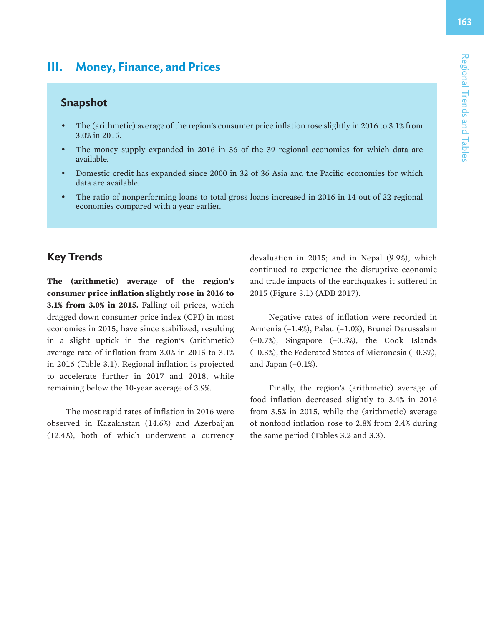# **III. Money, Finance, and Prices**

## **Snapshot**

- The (arithmetic) average of the region's consumer price inflation rose slightly in 2016 to 3.1% from 3.0% in 2015.
- The money supply expanded in 2016 in 36 of the 39 regional economies for which data are available.
- Domestic credit has expanded since 2000 in 32 of 36 Asia and the Pacific economies for which data are available.
- The ratio of nonperforming loans to total gross loans increased in 2016 in 14 out of 22 regional economies compared with a year earlier.

# **Key Trends**

**The (arithmetic) average of the region's consumer price inflation slightly rose in 2016 to 3.1% from 3.0% in 2015.** Falling oil prices, which dragged down consumer price index (CPI) in most economies in 2015, have since stabilized, resulting in a slight uptick in the region's (arithmetic) average rate of inflation from 3.0% in 2015 to 3.1% in 2016 (Table 3.1). Regional inflation is projected to accelerate further in 2017 and 2018, while remaining below the 10-year average of 3.9%.

The most rapid rates of inflation in 2016 were observed in Kazakhstan (14.6%) and Azerbaijan (12.4%), both of which underwent a currency devaluation in 2015; and in Nepal (9.9%), which continued to experience the disruptive economic and trade impacts of the earthquakes it suffered in 2015 (Figure 3.1) (ADB 2017).

Negative rates of inflation were recorded in Armenia (–1.4%), Palau (–1.0%), Brunei Darussalam (–0.7%), Singapore (–0.5%), the Cook Islands (–0.3%), the Federated States of Micronesia (–0.3%), and Japan  $(-0.1\%)$ .

Finally, the region's (arithmetic) average of food inflation decreased slightly to 3.4% in 2016 from 3.5% in 2015, while the (arithmetic) average of nonfood inflation rose to 2.8% from 2.4% during the same period (Tables 3.2 and 3.3).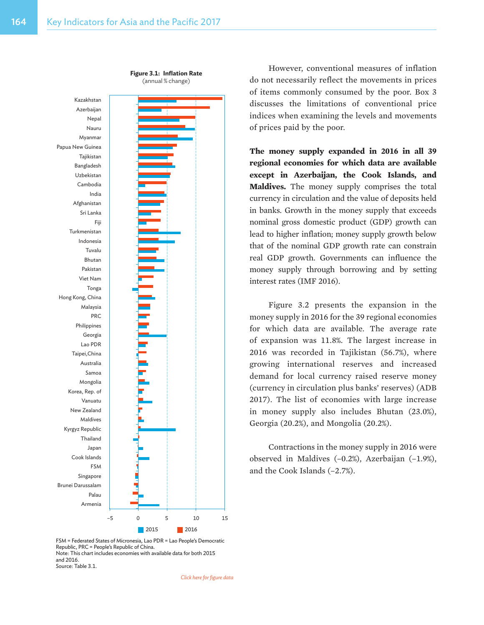

**Figure 3.1: Inflation Rate** (annual % change)

However, conventional measures of inflation do not necessarily reflect the movements in prices of items commonly consumed by the poor. Box 3 discusses the limitations of conventional price indices when examining the levels and movements of prices paid by the poor.

**The money supply expanded in 2016 in all 39 regional economies for which data are available except in Azerbaijan, the Cook Islands, and Maldives.** The money supply comprises the total currency in circulation and the value of deposits held in banks. Growth in the money supply that exceeds nominal gross domestic product (GDP) growth can lead to higher inflation; money supply growth below that of the nominal GDP growth rate can constrain real GDP growth. Governments can influence the money supply through borrowing and by setting interest rates (IMF 2016).

Figure 3.2 presents the expansion in the money supply in 2016 for the 39 regional economies for which data are available. The average rate of expansion was 11.8%. The largest increase in 2016 was recorded in Tajikistan (56.7%), where growing international reserves and increased demand for local currency raised reserve money (currency in circulation plus banks' reserves) (ADB 2017). The list of economies with large increase in money supply also includes Bhutan (23.0%), Georgia (20.2%), and Mongolia (20.2%).

Contractions in the money supply in 2016 were observed in Maldives (–0.2%), Azerbaijan (–1.9%), and the Cook Islands (–2.7%).

FSM = Federated States of Micronesia, Lao PDR = Lao People's Democratic Republic, PRC = People's Republic of China. Note: This chart includes economies with available data for both 2015 and 2016. Source: Table 3.1.

*[Click here for figure data](https://www.adb.org/sites/default/files/publication/357006/rt3-fig-3-1.xlsx)*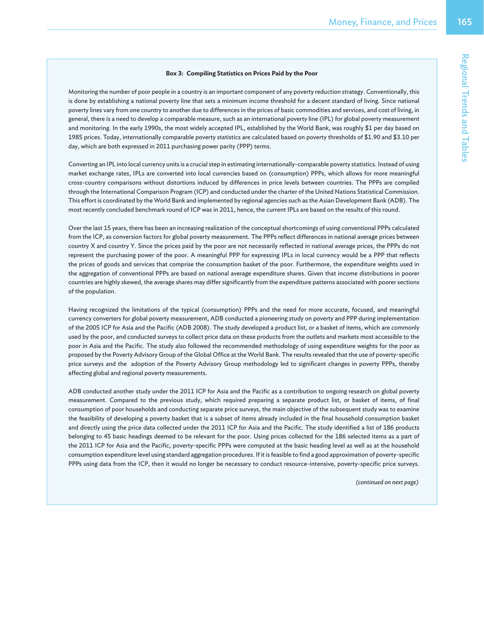#### **Box 3: Compiling Statistics on Prices Paid by the Poor**

Monitoring the number of poor people in a country is an important component of any poverty reduction strategy. Conventionally, this is done by establishing a national poverty line that sets a minimum income threshold for a decent standard of living. Since national poverty lines vary from one country to another due to differences in the prices of basic commodities and services, and cost of living, in general, there is a need to develop a comparable measure, such as an international poverty line (IPL) for global poverty measurement and monitoring. In the early 1990s, the most widely accepted IPL, established by the World Bank, was roughly \$1 per day based on 1985 prices. Today, internationally comparable poverty statistics are calculated based on poverty thresholds of \$1.90 and \$3.10 per day, which are both expressed in 2011 purchasing power parity (PPP) terms.

Converting an IPL into local currency units is a crucial step in estimating internationally-comparable poverty statistics. Instead of using market exchange rates, IPLs are converted into local currencies based on (consumption) PPPs, which allows for more meaningful cross-country comparisons without distortions induced by differences in price levels between countries. The PPPs are compiled through the International Comparison Program (ICP) and conducted under the charter of the United Nations Statistical Commission. This effort is coordinated by the World Bank and implemented by regional agencies such as the Asian Development Bank (ADB). The most recently concluded benchmark round of ICP was in 2011, hence, the current IPLs are based on the results of this round.

Over the last 15 years, there has been an increasing realization of the conceptual shortcomings of using conventional PPPs calculated from the ICP, as conversion factors for global poverty measurement. The PPPs reflect differences in national average prices between country X and country Y. Since the prices paid by the poor are not necessarily reflected in national average prices, the PPPs do not represent the purchasing power of the poor. A meaningful PPP for expressing IPLs in local currency would be a PPP that reflects the prices of goods and services that comprise the consumption basket of the poor. Furthermore, the expenditure weights used in the aggregation of conventional PPPs are based on national average expenditure shares. Given that income distributions in poorer countries are highly skewed, the average shares may differ significantly from the expenditure patterns associated with poorer sections of the population.

Having recognized the limitations of the typical (consumption) PPPs and the need for more accurate, focused, and meaningful currency converters for global poverty measurement, ADB conducted a pioneering study on poverty and PPP during implementation of the 2005 ICP for Asia and the Pacific (ADB 2008). The study developed a product list, or a basket of items, which are commonly used by the poor, and conducted surveys to collect price data on these products from the outlets and markets most accessible to the poor in Asia and the Pacific. The study also followed the recommended methodology of using expenditure weights for the poor as proposed by the Poverty Advisory Group of the Global Office at the World Bank. The results revealed that the use of poverty-specific price surveys and the adoption of the Poverty Advisory Group methodology led to significant changes in poverty PPPs, thereby affecting global and regional poverty measurements.

ADB conducted another study under the 2011 ICP for Asia and the Pacific as a contribution to ongoing research on global poverty measurement. Compared to the previous study, which required preparing a separate product list, or basket of items, of final consumption of poor households and conducting separate price surveys, the main objective of the subsequent study was to examine the feasibility of developing a poverty basket that is a subset of items already included in the final household consumption basket and directly using the price data collected under the 2011 ICP for Asia and the Pacific. The study identified a list of 186 products belonging to 45 basic headings deemed to be relevant for the poor. Using prices collected for the 186 selected items as a part of the 2011 ICP for Asia and the Pacific, poverty-specific PPPs were computed at the basic heading level as well as at the household consumption expenditure level using standard aggregation procedures. If it is feasible to find a good approximation of poverty-specific PPPs using data from the ICP, then it would no longer be necessary to conduct resource-intensive, poverty-specific price surveys.

*(continued on next page)*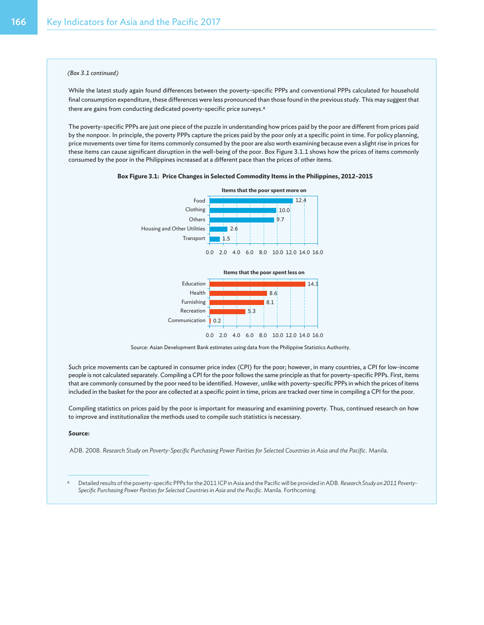#### *(Box 3.1 continued)*

While the latest study again found differences between the poverty-specific PPPs and conventional PPPs calculated for household final consumption expenditure, these differences were less pronounced than those found in the previous study. This may suggest that there are gains from conducting dedicated poverty-specific price surveys.<sup>a</sup>

The poverty-specific PPPs are just one piece of the puzzle in understanding how prices paid by the poor are different from prices paid by the nonpoor. In principle, the poverty PPPs capture the prices paid by the poor only at a specific point in time. For policy planning, price movements over time for items commonly consumed by the poor are also worth examining because even a slight rise in prices for these items can cause significant disruption in the well-being of the poor. Box Figure 3.1.1 shows how the prices of items commonly consumed by the poor in the Philippines increased at a different pace than the prices of other items.







Source: Asian Development Bank estimates using data from the Philippine Statistics Authority.

Such price movements can be captured in consumer price index (CPI) for the poor; however, in many countries, a CPI for low-income people is not calculated separately. Compiling a CPI for the poor follows the same principle as that for poverty-specific PPPs. First, items that are commonly consumed by the poor need to be identified. However, unlike with poverty-specific PPPs in which the prices of items included in the basket for the poor are collected at a specific point in time, prices are tracked over time in compiling a CPI for the poor.

Compiling statistics on prices paid by the poor is important for measuring and examining poverty. Thus, continued research on how to improve and institutionalize the methods used to compile such statistics is necessary.

#### **Source:**

ADB. 2008. *Research Study on Poverty-Specific Purchasing Power Parities for Selected Countries in Asia and the Pacific*. Manila.

<sup>a</sup> Detailed results of the poverty-specific PPPs for the 2011 ICP in Asia and the Pacific will be provided in ADB. *Research Study on 2011 Poverty-Specific Purchasing Power Parities for Selected Countries in Asia and the Pacific*. Manila. Forthcoming.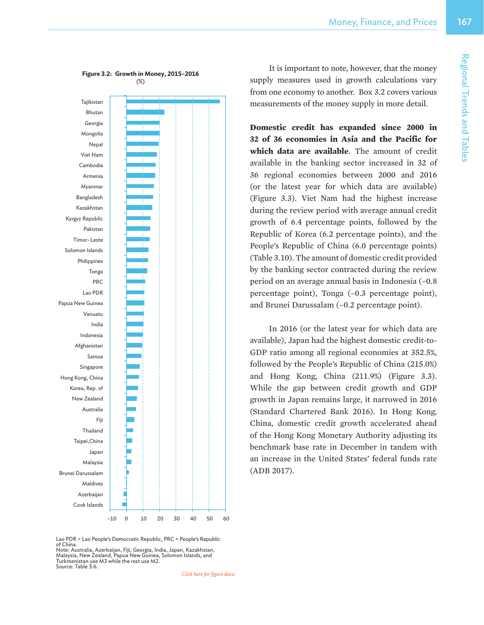

It is important to note, however, that the money supply measures used in growth calculations vary from one economy to another. Box 3.2 covers various measurements of the money supply in more detail.

**Domestic credit has expanded since 2000 in 32 of 36 economies in Asia and the Pacific for which data are available**. The amount of credit available in the banking sector increased in 32 of 36 regional economies between 2000 and 2016 (or the latest year for which data are available) (Figure 3.3). Viet Nam had the highest increase during the review period with average annual credit growth of 6.4 percentage points, followed by the Republic of Korea (6.2 percentage points), and the People's Republic of China (6.0 percentage points) (Table 3.10).The amount of domestic credit provided by the banking sector contracted during the review period on an average annual basis in Indonesia (–0.8 percentage point), Tonga (–0.3 percentage point), and Brunei Darussalam (–0.2 percentage point).

In 2016 (or the latest year for which data are available), Japan had the highest domestic credit-to-GDP ratio among all regional economies at 352.5%, followed by the People's Republic of China (215.0%) and Hong Kong, China (211.9%) (Figure 3.3). While the gap between credit growth and GDP growth in Japan remains large, it narrowed in 2016 (Standard Chartered Bank 2016). In Hong Kong, China, domestic credit growth accelerated ahead of the Hong Kong Monetary Authority adjusting its benchmark base rate in December in tandem with an increase in the United States' federal funds rate (ADB 2017).

Lao PDR = Lao People's Democratic Republic, PRC = People's Republic of China.

Note: Australia, Azerbaijan, Fiji, Georgia, India, Japan, Kazakhstan, Malaysia, New Zealand, Papua New Guinea, Solomon Islands, and Turkmenistan use M3 while the rest use M2. Source: Table 3.6.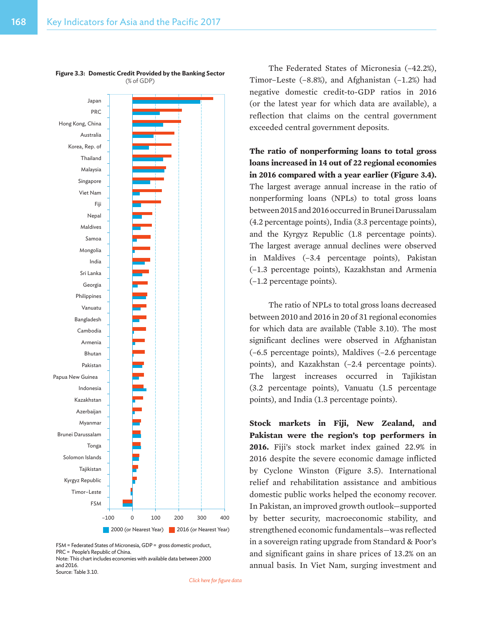

**Figure 3.3: Domestic Credit Provided by the Banking Sector** (% of GDP)

FSM = Federated States of Micronesia, GDP = gross domestic product, PRC = People's Republic of China. Note: This chart includes economies with available data between 2000 and 2016. Source: Table 3.10.

The Federated States of Micronesia (–42.2%), Timor–Leste (–8.8%), and Afghanistan (–1.2%) had negative domestic credit-to-GDP ratios in 2016 (or the latest year for which data are available), a reflection that claims on the central government exceeded central government deposits.

**The ratio of nonperforming loans to total gross loans increased in 14 out of 22 regional economies in 2016 compared with a year earlier (Figure 3.4).**  The largest average annual increase in the ratio of nonperforming loans (NPLs) to total gross loans between2015and2016occurredinBruneiDarussalam (4.2 percentage points), India (3.3 percentage points), and the Kyrgyz Republic (1.8 percentage points). The largest average annual declines were observed in Maldives (–3.4 percentage points), Pakistan (–1.3 percentage points), Kazakhstan and Armenia (–1.2 percentage points).

The ratio of NPLs to total gross loans decreased between 2010 and 2016 in 20 of 31 regional economies for which data are available (Table 3.10). The most significant declines were observed in Afghanistan (–6.5 percentage points), Maldives (–2.6 percentage points), and Kazakhstan (–2.4 percentage points). The largest increases occurred in Tajikistan (3.2 percentage points), Vanuatu (1.5 percentage points), and India (1.3 percentage points).

**Stock markets in Fiji, New Zealand, and Pakistan were the region's top performers in 2016.** Fiji's stock market index gained 22.9% in 2016 despite the severe economic damage inflicted by Cyclone Winston (Figure 3.5). International relief and rehabilitation assistance and ambitious domestic public works helped the economy recover. In Pakistan, an improved growth outlook—supported by better security, macroeconomic stability, and strengthened economic fundamentals—was reflected in a sovereign rating upgrade from Standard & Poor's and significant gains in share prices of 13.2% on an annual basis. In Viet Nam, surging investment and

*[Click here for figure data](https://www.adb.org/sites/default/files/publication/357006/rt3-fig-3-3.xlsx)*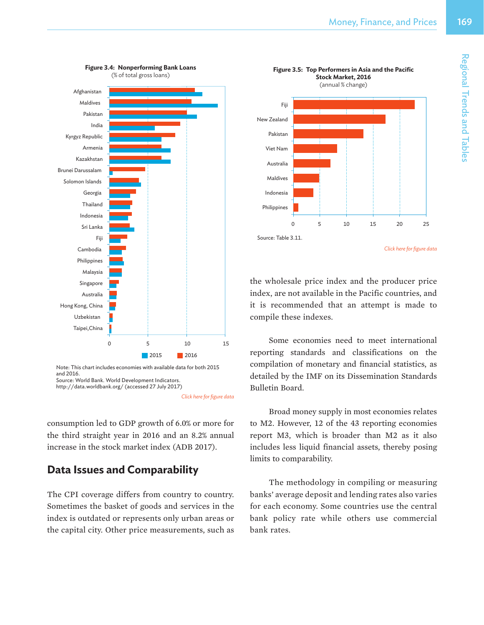

Source: World Bank. World Development Indicators.

consumption led to GDP growth of 6.0% or more for the third straight year in 2016 and an 8.2% annual increase in the stock market index (ADB 2017).

# **Data Issues and Comparability**

The CPI coverage differs from country to country. Sometimes the basket of goods and services in the index is outdated or represents only urban areas or the capital city. Other price measurements, such as



the wholesale price index and the producer price index, are not available in the Pacific countries, and it is recommended that an attempt is made to compile these indexes.

Some economies need to meet international reporting standards and classifications on the compilation of monetary and financial statistics, as detailed by the IMF on its Dissemination Standards Bulletin Board.

Broad money supply in most economies relates to M2. However, 12 of the 43 reporting economies report M3, which is broader than M2 as it also includes less liquid financial assets, thereby posing limits to comparability.

The methodology in compiling or measuring banks' average deposit and lending rates also varies for each economy. Some countries use the central bank policy rate while others use commercial bank rates.

http://data.worldbank.org/ (accessed 27 July 2017)

*[Click here for figure data](https://www.adb.org/sites/default/files/publication/357006/rt3-fig-3-4.xlsx)*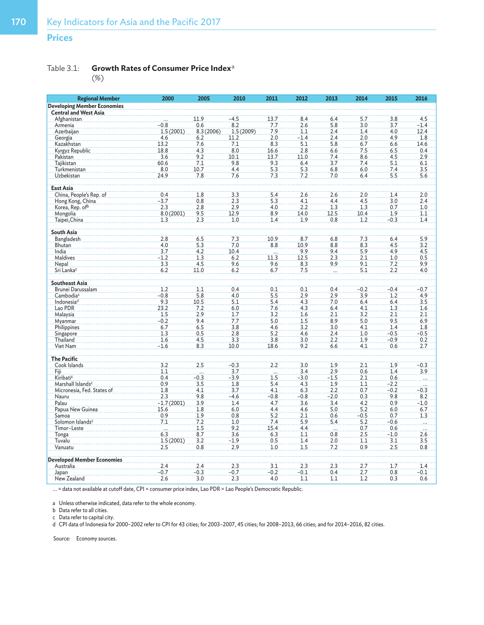## **Prices**

### Table 3.1: **Growth Rates of Consumer Price Index**<sup>a</sup>

| <b>Regional Member</b>             | 2000         | 2005      | 2010          | 2011                | 2012          | 2013            | 2014       | 2015       | 2016                |
|------------------------------------|--------------|-----------|---------------|---------------------|---------------|-----------------|------------|------------|---------------------|
| <b>Developing Member Economies</b> |              |           |               |                     |               |                 |            |            |                     |
| <b>Central and West Asia</b>       |              |           |               |                     |               |                 |            |            |                     |
| Afghanistan                        |              | 11.9      | $-4.5$        | 13.7                | 8.4           | 6.4             | 5.7        | 3.8        | 4.5                 |
| Armenia                            | $-0.8$       | 0.6       | 8.2           | 7.7                 | 2.6           | 5.8             | 3.0        | 3.7        | $-1.4$              |
| Azerbaijan                         | 1.5(2001)    | 8.3(2006) | 1.5(2009)     | 7.9                 | 1.1           | 2.4             | 1.4        | 4.0        | 12.4                |
| Georgia                            | 4.6          | 6.2       | 11.2          | 2.0                 | $-1.4$        | 2.4             | 2.0        | 4.9        | 1.8                 |
| Kazakhstan                         | 13.2         | 7.6       | 7.1           | 8.3                 | 5.1           | 5.8             | 6.7        | 6.6        | 14.6                |
| Kyrgyz Republic                    | 18.8         | 4.3       | 8.0           | 16.6                | 2.8           | 6.6             | 7.5        | 6.5        | 0.4                 |
| Pakistan                           | 3.6          | 9.2       | 10.1          | 13.7                | 11.0          | 7.4             | 8.6        | 4.5        | 2.9                 |
| Tajikistan                         | 60.6         | 7.1       | 9.8           | 9.3                 | 6.4           | 3.7             | 7.4        | 5.1        | 6.1                 |
| Turkmenistan                       | 8.0          | 10.7      | 4.4           | 5.3                 | 5.3           | 6.8             | 6.0        | 7.4        | 3.5                 |
| Uzbekistan                         | 24.9         | 7.8       | 7.6           | 7.3                 | 7.2           | 7.0             | 6.4        | 5.5        | 5.6                 |
| <b>East Asia</b>                   |              |           |               |                     |               |                 |            |            |                     |
| China, People's Rep. of            | 0.4          | 1.8       | 3.3           | 5.4                 | 2.6           | 2.6             | 2.0        | 1.4        | 2.0                 |
| Hong Kong, China                   | $-3.7$       | 0.8       | 2.3           | 5.3                 | 4.1           | 4.4             | 4.5        | 3.0        | 2.4                 |
| Korea, Rep. ofb                    | 2.3          | 2.8       | 2.9           | 4.0                 | 2.2           | 1.3             | 1.3        | 0.7        | 1.0                 |
| Mongolia                           | 8.0(2001)    | 9.5       | 12.9          | 8.9                 | 14.0          | 12.5            | 10.4       | 1.9        | 1.1                 |
| Taipei, China                      | 1.3          | 2.3       | 1.0           | 1.4                 | 1.9           | 0.8             | 1.2        | $-0.3$     | 1.4                 |
|                                    |              |           |               |                     |               |                 |            |            |                     |
| South Asia                         |              |           |               |                     |               |                 |            |            |                     |
| Bangladesh                         | 2.8          | 6.5       | 7.3           | 10.9                | 8.7           | 6.8             | 7.3        | 6.4        | 5.9                 |
| Bhutan                             | 4.0          | 5.3       | 7.0           | 8.8                 | 10.9          | 8.8             | 8.3        | 4.5        | 3.2                 |
| India                              | 3.7          | 4.2       | 10.4          |                     | 9.9           | 9.4             | 5.9        | 4.9        | 4.5                 |
| <b>Maldives</b>                    | $-1.2$       | 1.3       | 6.2           | $\frac{11.3}{11.3}$ | 12.5          | 2.3             | 2.1        | 1.0        | 0.5                 |
| Nepal                              | 3.3          | 4.5       | 9.6           | 9.6                 | 8.3           | 9.9             | 9.1        | 7.2        | 9.9                 |
| Sri Lanka <sup>c</sup>             | 6.2          | 11.0      | 6.2           | 6.7                 | 7.5           |                 | 5.1        | 2.2        | 4.0                 |
| <b>Southeast Asia</b>              |              |           |               |                     |               |                 |            |            |                     |
| Brunei Darussalam                  | 1.2          | 1.1       | 0.4           | 0.1                 | 0.1           | 0.4             | $-0.2$     | $-0.4$     | $-0.7$              |
| Cambodia <sup>c</sup>              | $-0.8$       | 5.8       | 4.0           | 5.5                 | 2.9           | 2.9             | 3.9        | 1.2        | 4.9                 |
| Indonesia <sup>d</sup>             | 9.3          | 10.5      | 5.1           | 5.4                 | 4.3           | 7.0             | 6.4        | 6.4        | 3.5                 |
| Lao PDR                            | 23.2         | 7.2       | 6.0           | 7.6                 | 4.3           | 6.4             | 4.1        | 1.3        | 1.6                 |
| Malaysia                           | 1.5          | 2.9       | 1.7           | 3.2                 | 1.6           | 2.1             | 3.2        | 2.1        | 2.1                 |
| Myanmar                            | $-0.2$       | 9.4       | 7.7           | 5.0                 | 1.5           | 8.9             | 5.0        | 9.5        | 6.9                 |
| Philippines                        | 6.7          | 6.5       | 3.8           | 4.6                 | 3.2           | 3.0             | 4.1        | 1.4        | 1.8                 |
| Singapore                          | 1.3          | 0.5       | 2.8           | 5.2                 | 4.6           | 2.4             | 1.0        | $-0.5$     | $-0.5$              |
| Thailand                           | 1.6          | 4.5       | 3.3           | 3.8                 | 3.0           | 2.2             | 1.9        | $-0.9$     | 0.2                 |
| Viet Nam                           | $-1.6$       | 8.3       | 10.0          | 18.6                | 9.2           | 6.6             | 4.1        | 0.6        | 2.7                 |
|                                    |              |           |               |                     |               |                 |            |            |                     |
| <b>The Pacific</b>                 |              |           |               | 2.2                 |               |                 |            |            |                     |
| Cook Islands                       | 3.2<br>1.1   | 2.5       | $-0.3$<br>3.7 |                     | 3.0           | 1.9<br>2.9      | 2.1        | 1.9        | $-0.3$              |
| Fiji.<br>Kiribatic                 | 0.4          | $-0.3$    | $-3.9$        | $\overline{1.5}$    | 3.4<br>$-3.0$ | $-1.5$          | 0.6<br>2.1 | 1.4<br>0.6 | 3.9                 |
| Marshall Islands <sup>c</sup>      | 0.9          | 3.5       | 1.8           | 5.4                 | 4.3           | 1.9             | 1.1        | $-2.2$     |                     |
| Micronesia, Fed. States of         | 1.8          | 4.1       | 3.7           | 4.1                 | 6.3           | 2.2             | 0.7        | $-0.2$     | $-0.3$              |
| Nauru                              | 2.3          | 9.8       | $-4.6$        | $-0.8$              | $-0.8$        | $-2.0$          | 0.3        | 9.8        | 8.2                 |
| Palau                              | $-1.7(2001)$ | 3.9       | 1.4           | 4.7                 | 3.6           | 3.4             | 4.2        | 0.9        | $-1.0$              |
| Papua New Guinea                   | 15.6         | 1.8       | 6.0           | 4.4                 | 4.6           | 5.0             | 5.2        | 6.0        | 6.7                 |
| Samoa                              | 0.9          | 1.9       | 0.8           | 5.2                 | 2.1           | 0.6             | $-0.5$     | 0.7        | 1.3                 |
| Solomon Islands <sup>c</sup>       | 7.1          | 7.2       | 1.0           | 7.4                 | 5.9           | 5.4             | 5.2        | $-0.6$     | $\overline{\cdots}$ |
| Timor-Leste                        | $\cdots$     | 1.5       | 9.2           | 15.4                | 4.4           |                 | 0.7        | 0.6        |                     |
| Tonga                              | 6.3          | 8.7       | 3.6           | 6.3                 | 1.1           | $\cdots$<br>0.8 | 2.5        | $-1.0$     | $\overline{2.6}$    |
| Tuvalu                             | 1.5(2001)    | 3.2       | $-1.9$        | 0.5                 | 1.4           | 2.0             | 1.1        | 3.1        | 3.5                 |
| Vanuatu                            | 2.5          | 0.8       | 2.9           | 1.0                 | 1.5           | 7.2             | 0.9        | 2.5        | 0.8                 |
|                                    |              |           |               |                     |               |                 |            |            |                     |
| <b>Developed Member Economies</b>  |              |           |               |                     |               |                 |            |            |                     |
| Australia                          | 2.4          | 2.4       | 2.3           | 3.1                 | 2.3           | 2.3             | 2.7        | 1.7        | 1.4                 |
| Japan                              | $-0.7$       | $-0.3$    | $-0.7$        | $-0.2$              | $-0.1$        | 0.4             | 2.7        | 0.8        | $-0.1$              |
| New Zealand                        | 2.6          | 3.0       | 2.3           | 4.0                 | 1.1           | 1.1             | 1.2        | 0.3        | 0.6                 |

... = data not available at cutoff date, CPI = consumer price index, Lao PDR = Lao People's Democratic Republic.

a Unless otherwise indicated, data refer to the whole economy.

b Data refer to all cities.

c Data refer to capital city.

d CPI data of Indonesia for 2000–2002 refer to CPI for 43 cities; for 2003–2007, 45 cities; for 2008–2013, 66 cities; and for 2014–2016, 82 cities.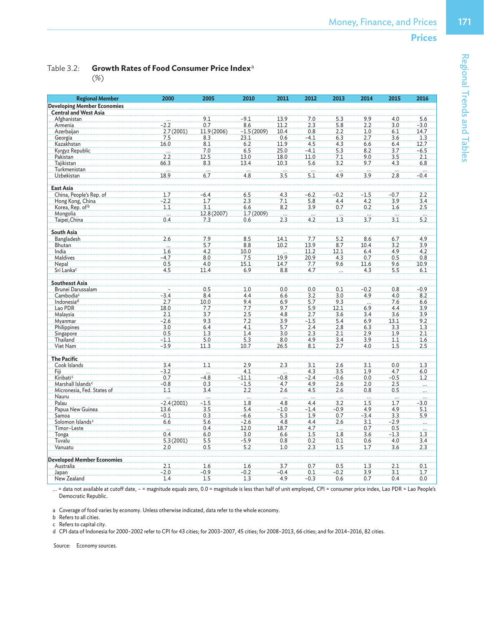Table 3.2: **Growth Rates of Food Consumer Price Index**<sup>a</sup>

| <b>Regional Member</b>             | 2000                    | 2005               | 2010                     | 2011             | 2012                     | 2013            | 2014             | 2015                    | 2016            |
|------------------------------------|-------------------------|--------------------|--------------------------|------------------|--------------------------|-----------------|------------------|-------------------------|-----------------|
| <b>Developing Member Economies</b> |                         |                    |                          |                  |                          |                 |                  |                         |                 |
| <b>Central and West Asia</b>       |                         |                    |                          |                  |                          |                 |                  |                         |                 |
| Afghanistan                        |                         | 9.1                | $-9.1$                   | 13.9             | 7.0                      | 5.3             | 9.9              | 4.0                     | 5.6             |
| Armenia                            | $-2.2$                  | 0.7                | 8.6                      | 11.2             | 2.3                      | 5.8             | 2.2              | 3.0                     | $-3.0$          |
| Azerbaijan                         | 2.7(2001)               | 11.9 (2006)        | $-1.5(2009)$             | 10.4             | 0.8                      | 2.2             | 1.0              | 6.1                     | 14.7            |
| Georgia                            | 7.5                     | 8.3                | 23.1                     | 0.6              | $-4.1$                   | 6.3             | 2.7              | 3.6                     | 1.3             |
| Kazakhstan                         | 16.0                    | 8.1                | 6.2                      | 11.9             | 4.5                      | 4.3             | 6.6              | 6.4                     | 12.7            |
| Kyrgyz Republic                    |                         | 7.0                | 6.5                      | 25.0             | $-4.1$                   | 5.3             | 8.2              | 3.7                     | $-6.5$          |
|                                    | .<br>2.2                | 12.5               | 13.0                     |                  |                          |                 |                  | 3.5                     |                 |
| Pakistan                           |                         |                    |                          | 18.0             | 11.0                     | 7.1             | 9.0              |                         | 2.1             |
| Tajikistan                         | 66.3                    | 8.3                | 13.4                     | 10.3             | 5.6                      | 3.2             | 9.7              | 4.3                     | 6.8             |
| Turkmenistan                       | in.                     | .                  | $\overline{\phantom{a}}$ | $\frac{1}{3.5}$  | $\overline{\mathcal{L}}$ | $\frac{1}{4.9}$ | $\frac{1}{3.9}$  | m.                      | $-0.4$          |
| Uzbekistan                         | 18.9                    | 6.7                | 4.8                      |                  | 5.1                      |                 |                  | 2.8                     |                 |
|                                    |                         |                    |                          |                  |                          |                 |                  |                         |                 |
| <b>East Asia</b>                   |                         |                    |                          |                  |                          |                 |                  |                         |                 |
| China, People's Rep. of            | 1.7                     | $-6.4$             | 6.5                      | 4.3              | $-6.2$                   | $-0.2$          | $-1.5$           | $-0.7$                  | 2.2             |
| Hong Kong, China                   | $-2.2$                  | 1.7                | 2.3                      | 7.1              | 5.8                      | 4.4             | 4.2              | 3.9                     | 3.4             |
| Korea, Rep. of b                   | 1.1                     | 3.1                | 6.6                      | 8.2              | 3.9                      | 0.7             | 0.2              | 1.6                     | 2.5             |
| Mongolia                           | $\mathbf{r}$            | 12.8 (2007)        | 1.7(2009)                | $\overline{2.3}$ | in.                      |                 | $\overline{3.7}$ | ш.                      | $\frac{1}{5.2}$ |
| Taipei, China                      | 0.4                     | 7.3                | 0.6                      |                  | 4.2                      | 1.3             |                  | 3.1                     |                 |
|                                    |                         |                    |                          |                  |                          |                 |                  |                         |                 |
| <b>South Asia</b>                  |                         |                    |                          |                  |                          |                 |                  |                         |                 |
| Bangladesh                         | 2.6                     | 7.9                | 8.5                      | 14.1             | 7.7                      | 5.2             | 8.6              | 6.7                     | 4.9             |
| Bhutan                             | $\overline{\mathbf{u}}$ | 5.7                | 8.8                      | 10.2             | 13.9                     | 8.7             | 10.4             | 3.2                     | 3.9             |
| India                              | 1.6                     | 4.2                | 10.0                     |                  | 11.2                     | 12.1            | 6.4              | 4.9                     | 4.2             |
| <b>Maldives</b>                    | $-4.7$                  | 8.0                | 7.5                      | 19.9             | 20.9                     | 4.3             | 0.7              | 0.5                     | 0.8             |
| Nepal                              | 0.5                     | 4.0                | 15.1                     | 14.7             | 7.7                      | 9.6             | 11.6             | 9.6                     | 10.9            |
| Sri Lanka <sup>c</sup>             | 4.5                     | 11.4               | 6.9                      | 8.8              | 4.7                      |                 | 4.3              | 5.5                     | 6.1             |
|                                    |                         |                    |                          |                  |                          |                 |                  |                         |                 |
| <b>Southeast Asia</b>              |                         |                    |                          |                  |                          |                 |                  |                         |                 |
| Brunei Darussalam                  |                         | 0.5                | 1.0                      | 0.0              | 0.0                      | 0.1             | $-0.2$           | 0.8                     | $-0.9$          |
| Cambodia <sup>c</sup>              | $-3.4$                  | 8.4                | 4.4                      | 6.6              | 3.2                      | 3.0             | 4.9              | 4.0                     | 8.2             |
| Indonesia <sup>d</sup>             | 2.7                     | 10.0               | 9.4                      | 6.9              | 5.7                      | 9.3             | $\cdots$         | 7.6                     | 6.6             |
| Lao PDR                            | 18.0                    | 7.7                | 7.7                      | 9.7              | 5.9                      | 12.1            | 6.9              | 4.4                     | 3.9             |
| Malaysia                           | 2.1                     | 3.7                | 2.5                      | 4.8              | 2.7                      | 3.6             | 3.4              | 3.6                     | 3.9             |
| Myanmar                            | $-2.6$                  | 9.3                | 7.2                      | 3.9              | $-1.5$                   | 5.4             | 6.9              | 13.1                    | 9.2             |
| Philippines                        | 3.0                     | 6.4                | 4.1                      | 5.7              | 2.4                      | 2.8             | 6.3              | 3.3                     | 1.3             |
| Singapore                          | 0.5                     | 1.3                | 1.4                      | 3.0              | 2.3                      | 2.1             | 2.9              | 1.9                     | 2.1             |
| Thailand                           | $-1.1$                  | 5.0                | 5.3                      | 8.0              | 4.9                      | 3.4             | 3.9              | 1.1                     | 1.6             |
| Viet Nam                           | $-3.9$                  | 11.3               | 10.7                     | 26.5             | 8.1                      | 2.7             | 4.0              | 1.5                     | 2.5             |
|                                    |                         |                    |                          |                  |                          |                 |                  |                         |                 |
| <b>The Pacific</b>                 |                         |                    |                          |                  |                          |                 |                  |                         |                 |
| Cook Islands                       | 3.4                     | 1.1                | 2.9                      | 2.3              | 3.1                      | 2.6             | 3.1              | 0.0                     | 1.3             |
|                                    | $-3.2$                  |                    | 4.1                      |                  | 4.3                      | 3.5             | 1.9              | 4.7                     |                 |
| Fiji<br>Kiribati <sup>c</sup>      | 0.7                     | $\cdots$<br>$-4.8$ | $-11.1$                  | $-0.8$           | $-2.4$                   |                 | 0.0              | $-0.5$                  | 6.0<br>1.2      |
|                                    |                         |                    |                          |                  |                          | $-0.6$          |                  |                         |                 |
| Marshall Islands <sup>c</sup>      | $-0.8$                  | 0.3                | $-1.5$                   | 4.7              | 4.9                      | 2.6             | 2.0              | 2.5                     |                 |
| Micronesia, Fed. States of         | 1.1                     | 3.4                | 2.2                      | 2.6              | 4.5                      | 2.6             | 0.8              | 0.5                     |                 |
| Nauru                              | ليبين                   | i.                 | $\overline{\phantom{a}}$ | $\cdots$         |                          | J.              |                  | $\overline{\mathbf{1}}$ |                 |
| Palau                              | $-2.4(2001)$            | $-1.5$             | 1.8                      | 4.8              | 4.4                      | 3.2             | 1.5              | 1.7                     | $-3.0$          |
| Papua New Guinea                   | 13.6                    | 3.5                | 5.4                      | $-1.0$           | $-1.4$                   | $-0.9$          | 4.9              | 4.9                     | 5.1             |
| Samoa                              | $-0.1$                  | 0.3                | $-6.6$                   | 5.3              | 1.9                      | 0.7             | $-3.4$           | 3.3                     | 5.9             |
| Solomon Islands <sup>c</sup>       | 6.6                     | 5.6                | $-2.6$                   | 4.8              | 4.4                      | 2.6             | 3.1              | $-2.9$                  |                 |
| Timor-Leste                        | $\cdots$                | 0.4                | 12.0                     | 18.7             | 4.7                      |                 | 0.7              | 0.5                     |                 |
| Tonga                              | 0.4                     | 6.0                | 3.0                      | 6.6              | 1.5                      | 1.8             | 3.6              | $-1.3$                  | 1.3             |
| Tuvalu                             | 5.3(2001)               | 5.5                | $-5.9$                   | 0.8              | 0.2                      | 0.1             | 0.6              | 4.0                     | 3.4             |
| Vanuatu                            | 2.0                     | 0.5                | 5.2                      | 1.0              | 2.3                      | 1.5             | 1.7              | 3.6                     | 2.3             |
|                                    |                         |                    |                          |                  |                          |                 |                  |                         |                 |
| <b>Developed Member Economies</b>  |                         |                    |                          |                  |                          |                 |                  |                         |                 |
| Australia                          | 2.1                     | 1.6                | 1.6                      | 3.7              | 0.7                      | 0.5             | 1.3              | 2.1                     | 0.1             |
| Japan                              | $-2.0$                  | $-0.9$             | $-0.2$                   | $-0.4$           | 0.1                      | $-0.2$          | 3.9              | 3.1                     | 1.7             |
| New Zealand                        | 1.4                     | 1.5                | 1.3                      | 4.9              | $-0.3$                   | 0.6             | 0.7              | 0.4                     | 0.0             |
|                                    |                         |                    |                          |                  |                          |                 |                  |                         |                 |

... = data not available at cutoff date, – = magnitude equals zero, 0.0 = magnitude is less than half of unit employed, CPI = consumer price index, Lao PDR = Lao People's Democratic Republic.

a Coverage of food varies by economy. Unless otherwise indicated, data refer to the whole economy.

b Refers to all cities.

c Refers to capital city.

d CPI data of Indonesia for 2000–2002 refer to CPI for 43 cities; for 2003–2007, 45 cities; for 2008–2013, 66 cities; and for 2014–2016, 82 cities.

Source: Economy sources.

Regional Trends and Tables

Regional Trends and Tables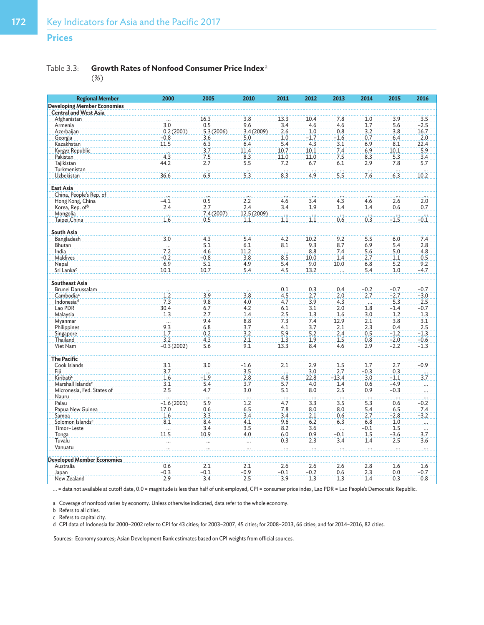## **Prices**

## Table 3.3: **Growth Rates of Nonfood Consumer Price Index**<sup>a</sup>

(%)

| <b>Regional Member</b>              | 2000                     | 2005             | 2010                            | 2011            | 2012             | 2013             | 2014             | 2015     | 2016            |
|-------------------------------------|--------------------------|------------------|---------------------------------|-----------------|------------------|------------------|------------------|----------|-----------------|
| <b>Developing Member Economies</b>  |                          |                  |                                 |                 |                  |                  |                  |          |                 |
| <b>Central and West Asia</b>        |                          |                  |                                 |                 |                  |                  |                  |          |                 |
| Afghanistan                         |                          | 16.3             | 3.8                             | 13.3            | 10.4             | 7.8              | 1.0              | 3.9      | 3.5             |
| Armenia                             | 3.0                      | 0.5              | 9.6                             | 3.4             | 4.6              | 4.6              | 1.7              | 5.6      | $-2.5$          |
| Azerbaijan                          | 0.2(2001)                | 5.3(2006)        | 3.4 (2009)                      | 2.6             | 1.0              | 0.8              | 3.2              | 3.8      | 16.7            |
| Georgia                             | $-0.8$                   | 3.6              | 5.0                             | 1.0             | $-1.7$           | $-1.6$           | 0.7              | 6.4      | 2.0             |
| Kazakhstan                          | 11.5                     | 6.3              | 6.4                             | 5.4             | 4.3              | 3.1              | 6.9              | 8.1      | 22.4            |
| Kyrgyz Republic                     | $\overline{\phantom{a}}$ | 3.7              | 11.4                            | 10.7            | 10.1             | 7.4              | 6.9              | 10.1     | 5.9             |
| Pakistan                            | 4.3                      | 7.5              | 8.3                             | 11.0            | 11.0             | 7.5              | 8.3              | 5.3      | 3.4             |
| Tajikistan                          | 44.2                     | 2.7              | 5.5                             | 7.2             | 6.7              | 6.1              | 2.9              | 7.8      | 5.7             |
| Turkmenistan                        | .                        | .                | .                               |                 | $\cdots$         | $\cdots$         | $\ldots$         | $\cdots$ | $\cdots$        |
| Uzbekistan                          | 36.6                     | 6.9              | 5.3                             | 8.3             | 4.9              | 5.5              | 7.6              | 6.3      | 10.2            |
| East Asia                           |                          |                  |                                 |                 |                  |                  |                  |          |                 |
|                                     |                          |                  |                                 |                 |                  |                  |                  |          |                 |
| China, People's Rep. of             | $-4.1$                   | 0.5              | 2.2                             | 4.6             | 3.4              | 4.3              | 4.6              | 2.6      | 2.0             |
| Hong Kong, China                    | 2.4                      | 2.7              | 2.4                             | 3.4             | 1.9              | 1.4              | 1.4              | 0.6      | 0.7             |
| Korea, Rep. ofb                     |                          |                  |                                 |                 |                  |                  |                  |          |                 |
| Mongolia                            | <br>1.6                  | 7.4(2007)<br>0.5 | 12.5 (2009)<br>1.1              | $\frac{1}{1.1}$ | $\overline{1,1}$ | <br>0.6          | $\overline{0.3}$ | $-1.5$   | $-0.1$          |
| Taipei, China                       |                          |                  |                                 |                 |                  |                  |                  |          |                 |
| South Asia                          |                          |                  |                                 |                 |                  |                  |                  |          |                 |
| Bangladesh                          | 3.0                      | 4.3              | 5.4                             | 4.2             | 10.2             | 9.2              | 5.5              | 6.0      | 7.4             |
| Bhutan                              | .                        | 5.1              | 6.1                             | 8.1             | 9.3              | 8.7              | 6.9              | 5.4      | 2.8             |
| India                               | 7.2                      | 4.6              | 11.2                            | $\frac{1}{8.5}$ | 8.8              | 7.4              | 5.6              | 5.0      | 4.8             |
| Maldives                            | $-0.2$                   | $-0.8$           | 3.8                             |                 | 10.0             | 1.4              | 2.7              | 1.1      | 0.5             |
| Nepal                               | 6.9                      | 5.1              | 4.9                             | 5.4             | 9.0              | 10.0             | 6.8              | 5.2      | 9.2             |
| Sri Lanka <sup>c</sup>              | 10.1                     | 10.7             | 5.4                             | 4.5             | 13.2             |                  | 5.4              | 1.0      | $-4.7$          |
| <b>Southeast Asia</b>               |                          |                  |                                 |                 |                  |                  |                  |          |                 |
| Brunei Darussalam                   |                          |                  |                                 | 0.1             | 0.3              | 0.4              | $-0.2$           | $-0.7$   | $-0.7$          |
| Cambodia <sup>c</sup>               | 1.2                      | 3.9              | 3.8                             | 4.5             | 2.7              | 2.0              | 2.7              | $-2.7$   | $-3.0$          |
| Indonesia <sup>d</sup>              | 7.3                      | 9.8              | 4.0                             | 4.7             | 3.9              | 4.3              | $\dddotsc$       | 5.3      | 2.5             |
| Lao PDR                             | 30.4                     | 6.7              | 4.2                             | 6.1             | 3.1              | 2.0              | 1.8              | $-1.4$   | $-0.7$          |
| Malaysia                            | 1.3                      | 2.7              | 1.4                             | 2.5             | 1.3              | 1.6              | 3.0              | 1.2      | 1.3             |
| Myanmar                             | $\overline{\mathbf{r}}$  | 9.4              | 8.8                             | 7.3             | 7.4              | 12.9             | 2.1              | 3.8      | 3.1             |
| Philippines                         | 9.3                      | 6.8              | 3.7                             | 4.1             | 3.7              | 2.1              | 2.3              | 0.4      | 2.5             |
| Singapore                           | 1.7                      | 0.2              | 3.2                             | 5.9             | 5.2              | 2.4              | 0.5              | $-1.2$   | $-1.3$          |
| Thailand                            | 3.2                      | 4.3              | 2.1                             | 1.3             | 1.9              | 1.5              | 0.8              | $-2.0$   | $-0.6$          |
| Viet Nam                            | $-0.3(2002)$             | 5.6              | 9.1                             | 13.3            | 8.4              | 4.6              | 2.9              | $-2.2$   | $-1.3$          |
| <b>The Pacific</b>                  |                          |                  |                                 |                 |                  |                  |                  |          |                 |
| Cook Islands                        | 3.1                      | 3.0              | $-1.6$                          | 2.1             | 2.9              | $\overline{1.5}$ | 1.7              | 2.7      | $-0.9$          |
| Fiji                                | 3.7                      |                  | 3.5                             |                 | 3.0              | 2.7              | $-0.3$           | 0.3      |                 |
| Kiribatic                           | 1.6                      | $-1.9$           | 2.8                             | $\frac{1}{4.8}$ | 22.8             | $-13.4$          | 3.0              | $-1.1$   | $\frac{1}{3.7}$ |
| Marshall Islands <sup>c</sup>       | 3.1                      | 5.4              | 3.7                             | 5.7             |                  | 1.4              |                  | $-4.9$   |                 |
|                                     | 2.5                      | 4.7              | 3.0                             | 5.1             | 4.0<br>8.0       | 2.5              | 0.6<br>0.9       | $-0.3$   |                 |
| Micronesia, Fed. States of<br>Nauru |                          |                  |                                 |                 |                  |                  |                  |          |                 |
| Palau                               | .<br>$-1.6(2001)$        | $\ddotsc$<br>5.9 | $\overline{\phantom{a}}$<br>1.2 | $\frac{1}{4.7}$ | $\cdots$<br>3.3  | 3.5              | 5.3              | 0.6      | $-0.2$          |
| Papua New Guinea                    | 17.0                     | 0.6              | 6.5                             | 7.8             | 8.0              | 8.0              | 5.4              | 6.5      | 7.4             |
| Samoa                               | 1.6                      | 3.3              | 3.4                             | 3.4             | 2.1              | 0.6              | 2.7              | $-2.8$   | $-3.2$          |
| Solomon Islands <sup>c</sup>        | 8.1                      | 8.4              | 4.1                             | 9.6             | 6.2              | 6.3              | 6.8              | 1.0      |                 |
| Timor-Leste                         |                          | 3.4              | 3.5                             | 8.2             | 3.6              |                  | $-0.1$           | 1.5      |                 |
| Tonga                               | .<br>11.5                | 10.9             | 4.0                             | 6.0             | 0.9              | $-0.1$           | 1.5              | $-3.6$   | 3.7             |
| Tuvalu                              |                          |                  |                                 | 0.3             | 2.3              | 3.4              | 1.4              | 2.5      | 3.6             |
| Vanuatu                             |                          |                  |                                 |                 |                  |                  |                  |          |                 |
|                                     |                          |                  |                                 |                 |                  |                  |                  |          |                 |
| <b>Developed Member Economies</b>   |                          |                  |                                 |                 |                  |                  |                  |          |                 |
| Australia                           | 0.6                      | 2.1              | 2.1                             | 2.6             | 2.6              | 2.6              | 2.8              | 1.6      | 1.6             |
| Japan                               | $-0.3$                   | $-0.1$           | $-0.9$                          | $-0.1$          | $-0.2$           | 0.6              | 2.3              | 0.0      | $-0.7$          |
| New Zealand                         | 2.9                      | 3.4              | 2.5                             | 3.9             | 1.3              | 1.3              | 1.4              | 0.3      | 0.8             |

... = data not available at cutoff date, 0.0 = magnitude is less than half of unit employed, CPI = consumer price index, Lao PDR = Lao People's Democratic Republic.

a Coverage of nonfood varies by economy. Unless otherwise indicated, data refer to the whole economy.

b Refers to all cities.

c Refers to capital city.

d CPI data of Indonesia for 2000–2002 refer to CPI for 43 cities; for 2003–2007, 45 cities; for 2008–2013, 66 cities; and for 2014–2016, 82 cities.

Sources: Economy sources; Asian Development Bank estimates based on CPI weights from official sources.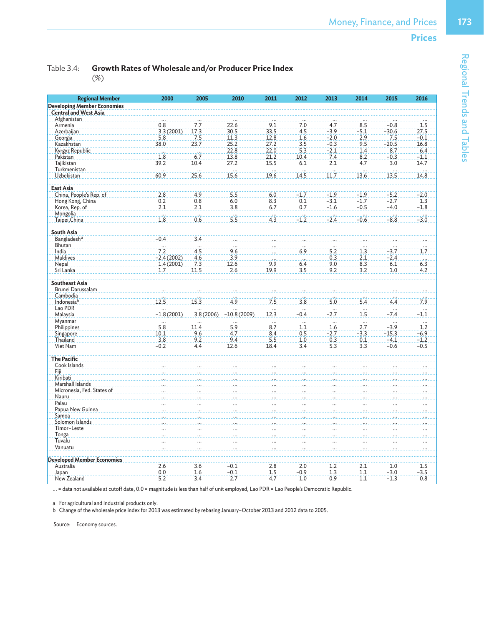Table 3.4: **Growth Rates of Wholesale and/or Producer Price Index** 

| <b>Regional Member</b>             | 2000                    | 2005      | 2010          | 2011            | 2012                     | 2013            | 2014             | 2015    | 2016     |
|------------------------------------|-------------------------|-----------|---------------|-----------------|--------------------------|-----------------|------------------|---------|----------|
| <b>Developing Member Economies</b> |                         |           |               |                 |                          |                 |                  |         |          |
| <b>Central and West Asia</b>       |                         |           |               |                 |                          |                 |                  |         |          |
| Afghanistan                        |                         |           |               |                 |                          |                 |                  |         |          |
| Armenia                            | 0.8                     | 7.7       | 22.6          | 9.1             | 7.0                      | 4.7             | 8.5              | $-0.8$  | 1.5      |
| Azerbaijan                         | 3.3(2001)               | 17.3      | 30.5          | 33.5            | 4.5                      | $-3.9$          | $-5.1$           | $-30.6$ | 27.5     |
| Georgia                            | 5.8                     | 7.5       | 11.3          | 12.8            | 1.6                      | $-2.0$          | 2.9              | 7.5     | $-0.1$   |
| Kazakhstan                         | 38.0                    | 23.7      | 25.2          | 27.2            | 3.5                      | $-0.3$          | 9.5              | $-20.5$ | 16.8     |
| Kyrgyz Republic                    |                         | $\cdots$  | 22.8          | 22.0            | 5.3                      | $-2.1$          | 1.4              | 8.7     | 6.4      |
| Pakistan                           | 1.8                     | 6.7       | 13.8          | 21.2            | 10.4                     | 7.4             | 8.2              | $-0.3$  | $-1.1$   |
| Tajikistan                         | 39.2                    | 10.4      | 27.2          | 15.5            | 6.1                      | 2.1             | 4.7              | 3.0     | 14.7     |
| Turkmenistan                       | $\overline{\mathbf{r}}$ | .         |               | $\cdots$        |                          | ia.             | $\ddotsc$        |         | .<br>    |
| Uzbekistan                         | 60.9                    | 25.6      | 15.6          | 19.6            | 14.5                     | 11.7            | 13.6             | 13.5    | 14.8     |
| <b>East Asia</b>                   |                         |           |               |                 |                          |                 |                  |         |          |
| China, People's Rep. of            | 2.8                     | 4.9       | 5.5           | 6.0             | $-1.7$                   | $-1.9$          | $-1.9$           | $-5.2$  | $-2.0$   |
| Hong Kong, China                   | 0.2                     | 0.8       | 6.0           | 8.3             | 0.1                      | $-3.1$          | $-1.7$           | $-2.7$  | 1.3      |
| Korea, Rep. of                     | 2.1                     | 2.1       | 3.8           | 6.7             | 0.7                      | $-1.6$          | $-0.5$           | $-4.0$  | $-1.8$   |
| Mongolia                           | in.                     |           | .             |                 |                          |                 |                  |         |          |
| Taipei, China                      | 1.8                     | 0.6       | 5.5           | $\frac{1}{4.3}$ | $-1.2$                   | $-2.4$          | $-0.6$           | $-8.8$  | $-3.0$   |
|                                    |                         |           |               |                 |                          |                 |                  |         |          |
| <b>South Asia</b>                  |                         |           |               |                 |                          |                 |                  |         |          |
| Bangladesh <sup>a</sup>            | $-0.4$                  | 3.4       |               |                 |                          |                 |                  |         |          |
| Bhutan                             | $\cdots$                | $\cdots$  | $\cdots$      |                 | $\ddots$                 | $\ddots$        |                  |         | b.       |
| India                              | 7.2                     | 4.5       | 9.6           |                 | 6.9                      | 5.2             | 1.3              | $-3.7$  | 1.7      |
| Maldives                           | $-2.4(2002)$            | 4.6       | 3.9           |                 | $\cdots$                 | 0.3             | 2.1              | $-2.4$  | $\cdots$ |
| Nepal                              | 1.4(2001)               | 7.3       | 12.6          | 9.9             | 6.4                      | 9.0             | 8.3              | 6.1     | 6.3      |
| Sri Lanka                          | 1.7                     | 11.5      | 2.6           | 19.9            | 3.5                      | 9.2             | 3.2              | 1.0     | 4.2      |
| <b>Southeast Asia</b>              |                         |           |               |                 |                          |                 |                  |         |          |
| Brunei Darussalam                  |                         |           |               |                 |                          |                 |                  |         |          |
| Cambodia                           |                         |           |               |                 |                          |                 |                  |         |          |
| Indonesiab                         | 12.5                    | 15.3      | 4.9           | 7.5             | 3.8                      | $\frac{1}{5.0}$ | 5.4              | 4.4     | 7.9      |
| Lao PDR                            |                         |           |               |                 |                          |                 |                  |         |          |
| Malaysia                           | $-1.8(2001)$            | 3.8(2006) | $-10.8(2009)$ | 12.3            | $-0.4$                   | ag.<br>$-2.7$   | $\overline{1.5}$ | $-7.4$  | $-1.1$   |
| Myanmar                            | $\cdots$                |           |               | $\ddotsc$       | $\dddotsc$               | $\ddots$        |                  |         | .<br>    |
| Philippines                        | 5.8                     | 11.4      | 5.9           | 8.7             | 1.1                      | 1.6             | 2.7              | $-3.9$  | 1.2      |
| Singapore                          | 10.1                    | 9.6       | 4.7           | 8.4             | 0.5                      | $-2.7$          | $-3.3$           | $-15.3$ | $-6.9$   |
| Thailand                           | 3.8                     | 9.2       | 9.4           | 5.5             | 1.0                      | 0.3             | 0.1              | $-4.1$  | $-1.2$   |
| Viet Nam                           | $-0.2$                  | 4.4       | 12.6          | 18.4            | 3.4                      | 5.3             | 3.3              | $-0.6$  | $-0.5$   |
|                                    |                         |           |               |                 |                          |                 |                  |         |          |
| <b>The Pacific</b>                 |                         |           |               |                 |                          |                 |                  |         |          |
| Cook Islands                       |                         |           |               |                 |                          |                 |                  |         |          |
| Fiji.                              |                         |           |               |                 |                          |                 |                  |         |          |
| Kiribati                           |                         |           |               |                 |                          |                 |                  |         |          |
| Marshall Islands                   |                         |           |               |                 |                          |                 |                  |         |          |
| Micronesia, Fed. States of         |                         |           |               |                 |                          |                 |                  |         |          |
| Nauru                              |                         |           |               |                 | $\overline{\phantom{a}}$ |                 |                  |         |          |
| Palau                              |                         |           |               |                 |                          |                 |                  |         |          |
| Papua New Guinea                   |                         |           |               |                 |                          |                 |                  |         |          |
| Samoa                              |                         |           |               |                 |                          |                 |                  |         |          |
| Solomon Islands                    |                         |           |               |                 |                          |                 |                  |         |          |
| Timor-Leste                        |                         |           |               |                 |                          |                 |                  |         |          |
| Tonga                              |                         |           |               |                 |                          |                 |                  |         |          |
| Tuvalu                             |                         |           |               |                 |                          |                 |                  |         |          |
| Vanuatu                            |                         |           |               |                 |                          |                 |                  |         |          |
| <b>Developed Member Economies</b>  |                         |           |               |                 |                          |                 |                  |         |          |
| Australia                          | 2.6                     | 3.6       | $-0.1$        | 2.8             | 2.0                      | 1.2             | 2.1              | 1.0     | 1.5      |
| Japan                              | 0.0                     | 1.6       | $-0.1$        | 1.5             | $-0.9$                   | 1.3             | 1.1              | $-3.0$  | $-3.5$   |
| New Zealand                        | 5.2                     | 3.4       | 2.7           | 4.7             | 1.0                      | 0.9             | 1.1              | $-1.3$  | 0.8      |

... = data not available at cutoff date, 0.0 = magnitude is less than half of unit employed, Lao PDR = Lao People's Democratic Republic.

a For agricultural and industrial products only.

b Change of the wholesale price index for 2013 was estimated by rebasing January–October 2013 and 2012 data to 2005.

Source: Economy sources.

Regional Trends and Tables

Regional Trends and Tables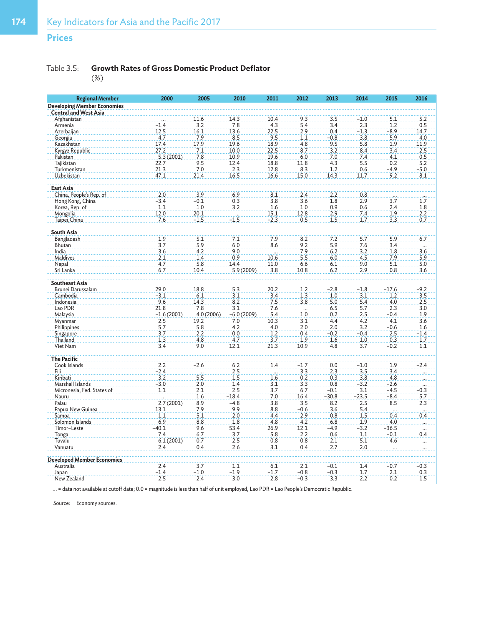# **Prices**

## Table 3.5: **Growth Rates of Gross Domestic Product Deflator**

(%)

| <b>Regional Member</b>             | 2000         | 2005      | 2010         | 2011             | 2012                     | 2013    | 2014       | 2015                    | 2016                     |
|------------------------------------|--------------|-----------|--------------|------------------|--------------------------|---------|------------|-------------------------|--------------------------|
| <b>Developing Member Economies</b> |              |           |              |                  |                          |         |            |                         |                          |
| <b>Central and West Asia</b>       |              |           |              |                  |                          |         |            |                         |                          |
| Afghanistan                        |              | 11.6      | 14.3         | 10.4             | 9.3                      | 3.5     | $-1.0$     | 5.1                     | 5.2                      |
| Armenia                            | $-1.4$       | 3.2       | 7.8          | 4.3              | 5.4                      | 3.4     | 2.3        | 1.2                     | 0.5                      |
| Azerbaijan                         | 12.5         | 16.1      | 13.6         | 22.5             | 2.9                      | 0.4     | $-1.3$     | $-8.9$                  | 14.7                     |
| Georgia                            | 4.7          | 7.9       | 8.5          | 9.5              | 1.1                      | $-0.8$  | 3.8        | 5.9                     | 4.0                      |
| Kazakhstan                         | 17.4         | 17.9      | 19.6         | 18.9             | 4.8                      | 9.5     | 5.8        | 1.9                     | 11.9                     |
| Kyrgyz Republic                    | 27.2         | 7.1       | 10.0         | 22.5             | 8.7                      | 3.2     | 8.4        | 3.4                     | 2.5                      |
| Pakistan                           | 5.3(2001)    | 7.8       | 10.9         | 19.6             | 6.0                      | 7.0     | 7.4        | 4.1                     | 0.5                      |
| Tajikistan                         | 22.7         | 9.5       | 12.4         | 18.8             | 11.8                     | 4.3     | 5.5        | 0.2                     | 5.2                      |
| Turkmenistan                       | 21.3         | 7.0       | 2.3          | 12.8             | 8.3                      | 1.2     | 0.6        | -4.9                    | $-5.0$                   |
| Uzbekistan                         | 47.1         | 21.4      | 16.5         | 16.6             | 15.0                     | 14.3    | 11.7       | 9.2                     | 8.1                      |
|                                    |              |           |              |                  |                          |         |            |                         |                          |
| East Asia                          |              |           |              |                  |                          |         |            |                         |                          |
| China, People's Rep. of            | 2.0          | 3.9       | 6.9          | 8.1              | 2.4                      | 2.2     | 0.8        |                         |                          |
| Hong Kong, China                   | $-3.4$       | $-0.1$    | 0.3          | 3.8              | 3.6                      | 1.8     | 2.9        | 3.7                     | 1.7                      |
| Korea, Rep. of                     | 1.1          | 1.0       | 3.2          | 1.6              | 1.0                      | 0.9     | 0.6        | 2.4                     | 1.8                      |
| Mongolia                           | 12.0         | 20.1      | $\mathbf{r}$ | 15.1             | 12.8                     | 2.9     | 7.4        | 1.9                     | 2.2                      |
| Taipei, China                      | 7.6          | $-1.5$    | $-1.5$       | $-2.3$           | 0.5                      | 1.5     | 1.7        | 3.3                     | 0.7                      |
| South Asia                         |              |           |              |                  |                          |         |            |                         |                          |
| Bangladesh                         | 1.9          | 5.1       | 7.1          | 7.9              | 8.2                      | 7.2     | 5.7        |                         | 6.7                      |
| Bhutan                             | 3.7          | 5.9       | 6.0          | 8.6              | 9.2                      | 5.9     | 7.6        | 5.9<br>3.4              |                          |
| India                              |              | 4.2       | 9.0          |                  | 7.9                      | 6.2     |            | 1.8                     |                          |
| <b>Maldives</b>                    | 3.6          | 1.4       | 0.9          | in.              |                          |         | 3.2        |                         | 3.6<br>5.9               |
|                                    | 2.1          |           | 14.4         | 10.6             | 5.5                      | 6.0     | 4.5<br>9.0 | 7.9                     |                          |
| Nepal                              | 4.7          | 5.8       |              | 11.0             | 6.6                      | 6.1     |            | 5.1                     | 5.0                      |
| Sri Lanka                          | 6.7          | 10.4      | 5.9 (2009)   | 3.8              | 10.8                     | 6.2     | 2.9        | 0.8                     | 3.6                      |
| <b>Southeast Asia</b>              |              |           |              |                  |                          |         |            |                         |                          |
| Brunei Darussalam                  | 29.0         | 18.8      | 5.3          | 20.2             | 1.2                      | $-2.8$  | $-1.8$     | $-17.6$                 | $-9.2$                   |
| Cambodia                           | $-3.1$       | 6.1       | 3.1          | 3.4              | 1.3                      | 1.0     | 3.1        | 1.2                     | 3.5                      |
| Indonesia                          | 9.6          | 14.3      | 8.2          | 7.5              | 3.8                      | 5.0     | 5.4        | 4.0                     | 2.5                      |
| Lao PDR                            | 21.8         | 7.8       | 3.1          | 7.6              | $\overline{\mathcal{L}}$ | 6.5     | 5.7        | 2.3                     | 3.0                      |
| Malaysia                           | $-1.6(2001)$ | 4.0(2006) | $-6.0(2009)$ | 5.4              | 1.0                      | 0.2     | 2.5        | $-0.4$                  | 1.9                      |
| Myanmar                            | 2.5          | 19.2      | 7.0          | 10.3             | 3.1                      | 4.4     | 4.2        | 4.1                     | 3.6                      |
| Philippines                        | 5.7          | 5.8       | 4.2          | 4.0              | 2.0                      | 2.0     | 3.2        | $-0.6$                  | 1.6                      |
| Singapore                          | 3.7          | 2.2       | 0.0          | 1.2              | 0.4                      | $-0.2$  | $-0.4$     | 2.5                     | $-1.4$                   |
| Thailand                           | 1.3          | 4.8       | 4.7          | 3.7              | 1.9                      | 1.6     | 1.0        | 0.3                     | 1.7                      |
| Viet Nam                           | 3.4          | 9.0       | 12.1         | 21.3             | 10.9                     | 4.8     | 3.7        | $-0.2$                  | 1.1                      |
|                                    |              |           |              |                  |                          |         |            |                         |                          |
| <b>The Pacific</b>                 |              |           |              |                  |                          |         |            |                         |                          |
| Cook Islands                       | 2.2          | $-2.6$    | 6.2          | $\overline{1.4}$ | $-1.7$                   | 0.0     | $-1.0$     | 1.9                     | $-2.4$                   |
| Fiji                               | $-2.4$       |           | 2.5          |                  | 3.3                      | 2.3     | 3.5        | 3.4                     |                          |
| Kiribati                           | 3.2          | 5.5       | 1.5          | 1.6              | 0.2                      | 0.3     | 3.8        | 4.8                     |                          |
| Marshall Islands                   | $-3.0$       | 2.0       | 1.4          | 3.1              | 3.3                      | 0.8     | $-3.2$     | $-2.6$                  |                          |
| Micronesia, Fed. States of         | 1.1          | 2.1       | 2.5          | 3.7              | 6.7                      | $-0.1$  | 3.1        | $-4.5$                  | $-0.3$                   |
| Nauru                              | $\cdots$     | 1.6       | $-18.4$      | 7.0              | 16.4                     | $-30.8$ | $-23.5$    | $-8.4$                  | 5.7                      |
| Palau                              | 2.7(2001)    | 8.9       | $-4.8$       | 3.8              | 3.5                      | 8.2     | 2.5        | 8.5                     | 2.3                      |
| Papua New Guinea                   | 13.1         | 7.9       | 9.9          | 8.8              | $-0.6$                   | 3.6     | 5.4        | $\overline{\mathbf{1}}$ | $\overline{\phantom{a}}$ |
| Samoa                              | 1.1          | 5.1       | 2.0          | 4.4              | 2.9                      | 0.8     | 1.5        | 0.4                     | 0.4                      |
| Solomon Islands                    | 6.9          | 8.8       | 1.8          | 4.8              | 4.2                      | 6.8     | 1.9        | 4.0                     |                          |
| Timor-Leste                        | $-40.1$      | 9.6       | 53.4         | 26.9             | 12.1                     | $-4.9$  | $-3.2$     | $-36.5$                 |                          |
| Tonga                              | 7.4          | 6.7       | 3.7          | 5.8              | 2.2                      | 0.6     | 1.1        | $-0.1$                  | 0.4                      |
| Tuvalu                             | 6.1(2001)    | 0.7       | 2.5          | 0.8              | 0.8                      | 2.1     | 5.1        | 4.6                     |                          |
| Vanuatu                            | 2.4          | 0.4       | 2.6          | 3.1              | 0.4                      | 2.7     | 2.0        |                         |                          |
| <b>Developed Member Economies</b>  |              |           |              |                  |                          |         |            |                         |                          |
| Australia                          | 2.4          | 3.7       | 1.1          | 6.1              | 2.1                      | $-0.1$  | 1.4        | $-0.7$                  | $-0.3$                   |
| Japan                              | $-1.4$       | $-1.0$    | $-1.9$       | $-1.7$           | $-0.8$                   | $-0.3$  | 1.7        | 2.1                     | 0.3                      |
| New Zealand                        | 2.5          | 2.4       | 3.0          | 2.8              | $-0.3$                   | 3.3     | 2.2        | 0.2                     | 1.5                      |

... = data not available at cutoff date; 0.0 = magnitude is less than half of unit employed, Lao PDR = Lao People's Democratic Republic.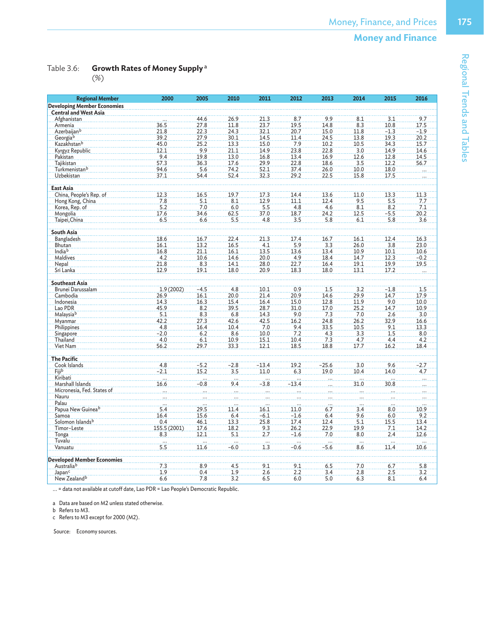Table 3.6: **Growth Rates of Money Supply**<sup>a</sup>

|--|

| <b>Regional Member</b>                                             | 2000            | 2005             | 2010     | 2011            | 2012     | 2013    | 2014            | 2015             | 2016                |
|--------------------------------------------------------------------|-----------------|------------------|----------|-----------------|----------|---------|-----------------|------------------|---------------------|
| <b>Developing Member Economies</b><br><b>Central and West Asia</b> |                 |                  |          |                 |          |         |                 |                  |                     |
| Afghanistan                                                        |                 | 44.6             | 26.9     | 21.3            | 8.7      | 9.9     | 8.1             | 3.1              | 9.7                 |
| Armenia                                                            | 36.5            | 27.8             | 11.8     | 23.7            | 19.5     | 14.8    | 8.3             | 10.8             | 17.5                |
| Azerbaijan <sup>b</sup>                                            | 21.8            | 22.3             | 24.3     | 32.1            | 20.7     | 15.0    | 11.8            | $-1.3$           | $-1.9$              |
| Georgiab                                                           | 39.2            | 27.9             | 30.1     | 14.5            | 11.4     | 24.5    | 13.8            | 19.3             | 20.2                |
| Kazakhstan <sup>b</sup>                                            | 45.0            | 25.2             | 13.3     | 15.0            | 7.9      | 10.2    | 10.5            | 34.3             | 15.7                |
| Kyrgyz Republic                                                    | 12.1            | 9.9              | 21.1     | 14.9            | 23.8     | 22.8    | 3.0             | 14.9             | 14.6                |
| Pakistan                                                           | 9.4             | 19.8             | 13.0     | 16.8            | 13.4     | 16.9    | 12.6            | 12.8             | 14.5                |
| Tajikistan                                                         | 57.3            | 36.3             | 17.6     | 29.9            | 22.8     | 18.6    | 3.5             | 12.2             | 56.7                |
| Turkmenistan <sup>b</sup>                                          | 94.6            | 5.6              | 74.2     | 52.1            | 37.4     | 26.0    | 10.0            | 18.0             |                     |
| Uzbekistan                                                         | 37.1            | 54.4             | 52.4     | 32.3            | 29.2     | 22.5    | 15.8            | 17.5             |                     |
| <b>East Asia</b>                                                   |                 |                  |          |                 |          |         |                 |                  |                     |
| China, People's Rep. of                                            | 12.3            | 16.5             | 19.7     | 17.3            | 14.4     | 13.6    | 11.0            | 13.3             | 11.3                |
|                                                                    | 7.8             | 5.1              | 8.1      | 12.9            | 11.1     | 12.4    | 9.5             | 5.5              | 7.7                 |
| Hong Kong, China<br>Korea, Rep. of                                 | 5.2             | 7.0              | 6.0      | 5.5             | 4.8      | 4.6     | 8.1             | 8.2              | 7.1                 |
|                                                                    |                 |                  |          |                 |          |         |                 |                  |                     |
| Mongolia                                                           | 17.6            | 34.6             | 62.5     | 37.0            | 18.7     | 24.2    | 12.5            | $-5.5$<br>5.8    | 20.2                |
| Taipei, China                                                      | 6.5             | 6.6              | 5.5      | 4.8             | 3.5      | 5.8     | 6.1             |                  | 3.6                 |
| South Asia                                                         |                 |                  |          |                 |          |         |                 |                  |                     |
| Bangladesh                                                         | 18.6            | 16.7             | 22.4     | 21.3            | 17.4     | 16.7    | 16.1            | 12.4             | 16.3                |
| Bhutan                                                             | 16.1            | 13.2             | 16.5     | 4.1             | 5.9      | 3.3     | 26.0            | 3.8              | 23.0                |
| India <sup>b</sup>                                                 | 16.8            | 21.1             | 16.1     | 13.5            | 13.6     | 13.4    | 10.9            | 10.1             | 10.6                |
| Maldives                                                           | 4.2             | 10.6             | 14.6     | 20.0            | 4.9      | 18.4    | 14.7            | 12.3             | $-0.2$              |
| Nepal                                                              | 21.8            | 8.3              | 14.1     | 28.0            | 22.7     | 16.4    | 19.1            | 19.9             | 19.5                |
| Sri Lanka                                                          | 12.9            | 19.1             | 18.0     | 20.9            | 18.3     | 18.0    | 13.1            | 17.2             |                     |
| <b>Southeast Asia</b>                                              |                 |                  |          |                 |          |         |                 |                  |                     |
| Brunei Darussalam                                                  | 1.9(2002)       | $-4.5$           | 4.8      | 10.1            | 0.9      | 1.5     | 3.2             | $-1.8$           | 1.5                 |
| Cambodia                                                           | 26.9            | 16.1             | 20.0     | 21.4            | 20.9     | 14.6    | 29.9            | 14.7             | 17.9                |
| Indonesia                                                          | 14.3            | 16.3             | 15.4     | 16.4            | 15.0     | 12.8    | 11.9            | 9.0              | 10.0                |
| Lao PDR                                                            | 45.9            | 8.2              | 39.5     | 28.7            | 31.0     | 17.0    | 25.2            | 14.7             | 10.9                |
| Malaysiab                                                          | 5.1             | 8.3              | 6.8      | 14.3            | 9.0      | 7.3     | 7.0             | 2.6              | 3.0                 |
| Myanmar                                                            | 42.2            | 27.3             | 42.6     | 42.5            | 16.2     | 24.8    | 26.2            | 32.9             | 16.6                |
| Philippines                                                        | 4.8             | 16.4             | 10.4     | 7.0             | 9.4      | 33.5    | 10.5            | 9.1              | 13.3                |
| Singapore                                                          | $-2.0$          | 6.2              | 8.6      | 10.0            | 7.2      | 4.3     | 3.3             | 1.5              | 8.0                 |
| Thailand                                                           | 4.0             | 6.1              | 10.9     | 15.1            | 10.4     | 7.3     | 4.7             | 4.4              | 4.2                 |
| Viet Nam                                                           | 56.2            | 29.7             | 33.3     | 12.1            | 18.5     | 18.8    | 17.7            | 16.2             | 18.4                |
| <b>The Pacific</b>                                                 |                 |                  |          |                 |          |         |                 |                  |                     |
| Cook Islands                                                       | 4.8             | $-5.2$           | $-2.8$   | $-13.4$         | 19.2     | $-25.6$ | 3.0             | 9.6              | $-2.7$              |
| Fiji <sup>b</sup>                                                  | $-2.1$          | 15.2             | 3.5      | 11.0            | 6.3      | 19.0    | 10.4            | 14.0             | 4.7                 |
| Kiribati                                                           | <b>College</b>  | .                | $\cdots$ | .               | $\cdots$ |         | .               | $\cdots$         |                     |
| Marshall Islands                                                   | 16.6            | $-0.8$           | 9.4      | $-3.8$          | $-13.4$  |         | 31.0            | 30.8             |                     |
| Micronesia, Fed. States of                                         | $\sim$          |                  |          |                 |          |         |                 |                  |                     |
| Nauru                                                              |                 |                  |          |                 |          |         |                 |                  |                     |
| Palau                                                              |                 |                  |          |                 |          |         |                 |                  |                     |
| Papua New Guinea <sup>b</sup>                                      | 5.4             | 29.5             | 11.4     | 16.1            | 11.0     | 6.7     | 3.4             | 8.0              | 10.9                |
| Samoa                                                              | 16.4            | 15.6             | 6.4      | $-6.1$          | $-1.6$   | 6.4     | 9.6             | 6.0              | 9.2                 |
| Solomon Islands <sup>b</sup>                                       | 0.4             | 46.1             | 13.3     | 25.8            | 17.4     | 12.4    | 5.1             | 15.5             | 13.4                |
|                                                                    | 155.5 (2001)    | 17.6             | 18.2     | 9.3             | 26.2     | 22.9    | 19.9            | 7.1              | 14.2                |
| Timor-Leste                                                        |                 |                  | 5.1      | 2.7             |          | 7.0     | 8.0             | 2.4              | 12.6                |
| Tonga                                                              | 8.3             | 12.1             |          |                 | $-1.6$   |         |                 |                  |                     |
| Tuvalu                                                             | $\frac{1}{5.5}$ | $\frac{1}{11.6}$ | $-6.0$   | $\frac{1}{1.3}$ | $-0.6$   | $-5.6$  | $\frac{1}{8.6}$ | $\frac{1}{11.4}$ | $\frac{10.6}{10.6}$ |
| Vanuatu                                                            |                 |                  |          |                 |          |         |                 |                  |                     |
| <b>Developed Member Economies</b>                                  |                 |                  |          |                 |          |         |                 |                  |                     |
| Australiab                                                         | 7.3             | 8.9              | 4.5      | 9.1             | 9.1      | 6.5     | 7.0             | 6.7              | 5.8                 |
| Japan <sup>c</sup>                                                 | 1.9             | 0.4              | 1.9      | 2.6             | 2.2      | 3.4     | 2.8             | 2.5              | 3.2                 |
| New Zealand <sup>b</sup>                                           | 6.6             | 7.8              | 3.2      | 6.5             | 6.0      | 5.0     | 6.3             | 8.1              | 6.4                 |

... = data not available at cutoff date, Lao PDR = Lao People's Democratic Republic.

a Data are based on M2 unless stated otherwise.

b Refers to M3.

c Refers to M3 except for 2000 (M2).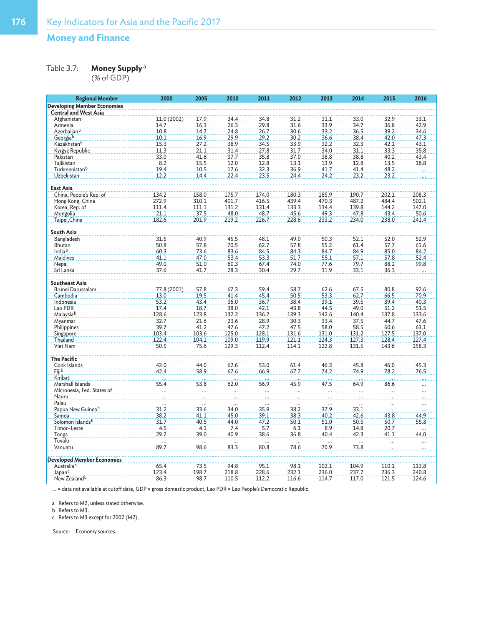Table 3.7: **Money Supply**<sup>a</sup>

(% of GDP)

| <b>Regional Member</b>                 | 2000        | 2005             | 2010             | 2011             | 2012        | 2013        | 2014         | 2015         | 2016             |
|----------------------------------------|-------------|------------------|------------------|------------------|-------------|-------------|--------------|--------------|------------------|
| <b>Developing Member Economies</b>     |             |                  |                  |                  |             |             |              |              |                  |
| <b>Central and West Asia</b>           |             |                  |                  |                  |             |             |              |              |                  |
| Afghanistan                            | 11.0 (2002) | 17.9             | 34.4             | 34.8             | 31.2        | 31.1        | 33.0         | 32.9         | 33.1             |
| Armenia                                | 14.7        | 16.3             | 26.3             | 29.8             | 31.6        | 33.9        | 34.7         | 36.8         | 42.9             |
| Azerbaijan <sup>b</sup>                | 10.8        | 14.7             | 24.8             | 26.7             | 30.6        | 33.2        | 36.5         | 39.2         | 34.6             |
| Georgiab                               | 10.1        | 16.9             | 29.9             | 29.2             | 30.2        | 36.6        | 38.4         | 42.0         | 47.3             |
| Kazakhstan <sup>b</sup>                | 15.3        | 27.2             | 38.9             | 34.5             | 33.9        | 32.2        | 32.3         | 42.1         | 43.1             |
| Kyrgyz Republic                        | 11.3        | 21.1             | 31.4             | 27.8             | 31.7        | 34.0        | 31.1         | 33.3         | 35.8             |
| Pakistan                               | 33.0        | 41.6             | 37.7             | 35.8             | 37.0        | 38.8        | 38.8         | 40.2         | 43.4             |
| Tajikistan                             | 8.2         | 15.5             | 12.0             | 12.8             | 13.1        | 13.9        | 12.8         | 13.5         | 18.8             |
| Turkmenistanb                          | 19.4        | 10.5             | 17.6             | 32.3             | 36.9        | 41.7        | 41.4         | 48.2         |                  |
| Uzbekistan                             | 12.2        | 14.4             | 22.4             | 23.5             | 24.4        | 24.2        | 23.2         | 23.2         |                  |
| East Asia                              |             |                  |                  |                  |             |             |              |              |                  |
| China, People's Rep. of                | 134.2       | 158.0            | 175.7            | 174.0            | 180.3       | 185.9       | 190.7        | 202.1        | 208.3            |
| Hong Kong, China                       | 272.9       | 310.1            | 401.7            | 416.5            | 439.4       | 470.3       | 487.2        | 484.4        | 502.1            |
| Korea, Rep. of                         | 111.4       | 111.1            | 131.2            | 131.4            | 133.3       | 134.4       | 139.8        | 144.2        | 147.0            |
| Mongolia                               | 21.1        | 37.5             | 48.0             | 48.7             | 45.6        | 49.3        | 47.8         | 43.4         | 50.6             |
| Taipei, China                          | 182.6       | 201.9            | 219.2            | 226.7            | 228.6       | 233.2       | 234.0        | 238.0        | 241.4            |
|                                        |             |                  |                  |                  |             |             |              |              |                  |
| South Asia                             |             |                  |                  |                  |             |             |              |              |                  |
| Bangladesh                             | 31.5        | 40.9             | 45.5             | 48.1             | 49.0        | 50.3        | 52.1         | 52.0         | 52.9             |
| Bhutan                                 | 50.8        | 57.8             | 70.5             | 62.7             | 57.8        | 55.2        | 61.4         | 57.7         | 61.6             |
| India <sup>b</sup>                     | 60.3        | 73.6             | 83.6             | 84.5             | 84.3        | 84.7        | 84.9         | 85.0         | 84.2             |
| Maldives                               | 41.1        | 47.0             | 53.4             | 53.3             | 51.7        | 55.1        | 57.1         | 57.8         | 52.4             |
| Nepal                                  | 49.0        | 51.0             | 60.3             | 67.4             | 74.0        | 77.6        | 79.7         | 88.2         | 99.8             |
| Sri Lanka                              | 37.6        | 41.7             | 28.3             | 30.4             | 29.7        | 31.9        | 33.1         | 36.3         |                  |
| <b>Southeast Asia</b>                  |             |                  |                  |                  |             |             |              |              |                  |
| Brunei Darussalam                      | 77.8 (2001) | 57.8             | 67.3             | 59.4             | 58.7        | 62.6        | 67.5         | 80.8         | 92.6             |
| Cambodia                               | 13.0        | 19.5             | 41.4             | 45.4             | 50.5        | 53.3        | 62.7         | 66.5         | 70.9             |
| Indonesia                              | 53.2        | 43.4             | 36.0             | 36.7             | 38.4        | 39.1        | 39.5         | 39.4         | 40.3             |
| Lao PDR                                | 17.4        | 18.7             | 38.0             | 42.1             | 43.8        | 44.5        | 49.0         | 51.2         | 51.5             |
| Malaysiab                              | 128.6       | 123.8            | 132.2            | 136.2            | 139.3       | 142.6       | 140.4        | 137.8        | 133.6            |
| Myanmar                                | 32.7        | 21.6             | 23.6             | 28.9             | 30.3        | 33.4        | 37.5         | 44.7         | 47.6             |
| Philippines                            | 39.7        | 41.2             | 47.6             | 47.2             | 47.5        | 58.0        | 58.5         | 60.6         | 63.1             |
| Singapore                              | 103.4       | 103.6            | 125.0            | 128.1            | 131.6       | 131.0       | 131.2        | 127.5        | 137.0            |
| Thailand                               | 122.4       | 104.1            | 109.0            | 119.9            | 121.1       | 124.3       | 127.3        | 128.4        | 127.4            |
| Viet Nam                               | 50.5        | 75.6             | 129.3            | 112.4            | 114.1       | 122.8       | 131.5        | 143.6        | 158.3            |
|                                        |             |                  |                  |                  |             |             |              |              |                  |
| <b>The Pacific</b>                     |             |                  |                  |                  |             |             |              |              |                  |
| Cook Islands                           | 42.0        | 44.0             | 62.6             | 53.0             | 61.4        | 46.3        | 45.8         | 46.0         | 45.3             |
| Fiji <sup>b</sup><br>Kiribati          | 42.4        | 58.9             | 67.6             | 66.9             | 67.7        | 74.2        | 74.9         | 78.2         | 76.5             |
|                                        | .           | $\sim$           | $\sim$           |                  | .           | .           |              | . <b>.</b>   |                  |
| Marshall Islands                       | 55.4        | 53.8             | 62.0             | 56.9             | 45.9        | 47.5        | 64.9         | 86.6         |                  |
| Micronesia, Fed. States of             |             |                  |                  |                  |             |             |              |              |                  |
| Nauru                                  |             |                  |                  |                  |             |             |              |              |                  |
| Palau<br>Papua New Guinea <sup>b</sup> | 31.2        | 33.6             | 34.0             | 35.9             | 38.2        | 37.9        | 33.1         |              |                  |
| Samoa                                  | 38.2        | 41.1             | 45.0             | 39.1             | 38.3        | 40.2        | 42.6         | 43.8         | 44.9             |
|                                        |             |                  | 44.0             |                  | 50.1        | 51.0        |              |              | 55.8             |
| Solomon Islands <sup>b</sup>           | 31.7<br>4.5 | 40.5             |                  | 47.2             |             |             | 50.5         | 50.7         |                  |
| Timor-Leste                            | 29.2        | 4.1<br>39.0      | 7.4<br>40.9      | 5.7<br>38.6      | 6.1<br>36.8 | 8.9<br>40.4 | 14.8<br>42.3 | 20.7<br>41.1 | $\ldots$<br>44.0 |
| Tonga                                  |             |                  |                  |                  |             |             |              |              |                  |
| Tuvalu                                 | 89.7        | $\frac{1}{98.6}$ | $\frac{1}{83.3}$ | $\frac{1}{80.8}$ | 78.6        | 70.9        | 73.8         |              |                  |
| Vanuatu                                |             |                  |                  |                  |             |             |              |              |                  |
| <b>Developed Member Economies</b>      |             |                  |                  |                  |             |             |              |              |                  |
| Australiab                             | 65.4        | 73.5             | 94.8             | 95.1             | 98.1        | 102.1       | 104.9        | 110.1        | 113.8            |
| Japan <sup>c</sup>                     | 123.4       | 198.7            | 218.8            | 228.6            | 232.1       | 236.0       | 237.7        | 236.3        | 240.8            |
| New Zealand <sup>b</sup>               | 86.3        | 98.7             | 110.5            | 112.2            | 116.6       | 114.7       | 117.0        | 121.5        | 124.6            |

... = data not available at cutoff date, GDP = gross domestic product, Lao PDR = Lao People's Democratic Republic.

a Refers to M2, unless stated otherwise.

b Refers to M3.

c Refers to M3 except for 2002 (M2).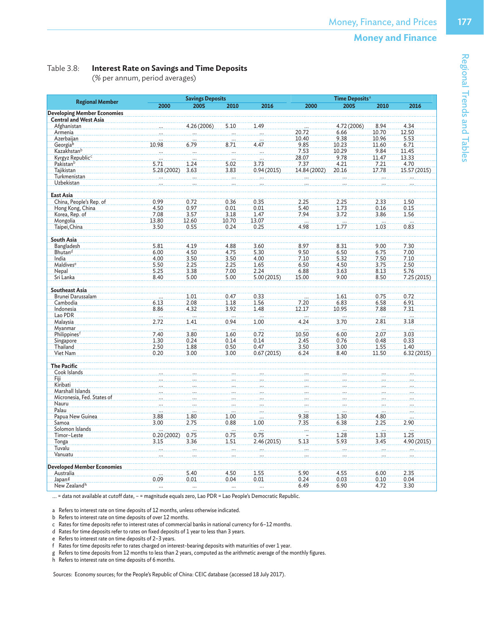#### Table 3.8: **Interest Rate on Savings and Time Deposits**

(% per annum, period averages)

|                                    |                          | <b>Savings Deposits</b> |          |                          | Time Deposits <sup>a</sup> |                  |       |              |  |
|------------------------------------|--------------------------|-------------------------|----------|--------------------------|----------------------------|------------------|-------|--------------|--|
| <b>Regional Member</b>             | 2000                     | 2005                    | 2010     | 2016                     | 2000                       | 2005             | 2010  | 2016         |  |
| <b>Developing Member Economies</b> |                          |                         |          |                          |                            |                  |       |              |  |
| <b>Central and West Asia</b>       |                          |                         |          |                          |                            |                  |       |              |  |
| Afghanistan                        |                          | 4.26 (2006)             | 5.10     | 1.49                     |                            | 4.72 (2006)      | 8.94  | 4.34         |  |
| Armenia                            |                          |                         |          |                          | 20.72                      | 6.66             | 10.70 | 12.50        |  |
| Azerbaiian                         |                          |                         |          |                          | 10.40                      | 9.38             | 10.96 | 5.53         |  |
| Georgiab                           | 10.98                    | 6.79                    | 8.71     | 4.47                     | 9.85                       | 10.23            | 11.60 | 6.71         |  |
| Kazakhstan <sup>b</sup>            | $\sim$ $\sim$            | $\sim$                  | $\cdots$ | $\overline{\phantom{a}}$ | 7.53                       | 10.29            | 9.84  | 11.45        |  |
| Kyrgyz Republic <sup>c</sup>       |                          |                         | $\ddots$ |                          | 28.07                      | 9.78             | 11.47 | 13.33        |  |
| Pakistanb                          | 5.71                     | 1.24                    | 5.02     | 3.73                     | 7.37                       | 4.21             | 7.21  | 4.70         |  |
| Tajikistan                         | 5.28 (2002)              | 3.63                    | 3.83     | 0.94(2015)               |                            | 20.16            |       |              |  |
|                                    |                          |                         |          |                          | 14.84 (2002)               |                  | 17.78 | 15.57 (2015) |  |
| Turkmenistan                       |                          |                         |          |                          |                            |                  |       |              |  |
| Uzbekistan                         |                          |                         |          |                          |                            |                  |       |              |  |
| <b>East Asia</b>                   |                          |                         |          |                          |                            |                  |       |              |  |
|                                    | 0.99                     |                         |          |                          |                            |                  |       |              |  |
| China, People's Rep. of            |                          | 0.72                    | 0.36     | 0.35                     | 2.25                       | 2.25             | 2.33  | 1.50         |  |
| Hong Kong, China                   | 4.50                     | 0.97                    | 0.01     | 0.01                     | 5.40                       | 1.73             | 0.16  | 0.15         |  |
| Korea, Rep. of                     | 7.08                     | 3.57                    | 3.18     | 1.47                     | 7.94                       | 3.72             | 3.86  | 1.56         |  |
| Mongolia                           | 13.80                    | 12.60                   | 10.70    | 13.07                    | .                          | $\frac{1}{1.77}$ | .<br> |              |  |
| Taipei, China                      | 3.50                     | 0.55                    | 0.24     | 0.25                     | 4.98                       |                  | 1.03  | 0.83         |  |
|                                    |                          |                         |          |                          |                            |                  |       |              |  |
| South Asia                         |                          |                         |          |                          |                            |                  |       |              |  |
| Bangladesh                         | 5.81                     | 4.19                    | 4.88     | 3.60                     | 8.97                       | 8.31             | 9.00  | 7,30         |  |
| Bhutand                            | 6.00                     | 4.50                    | 4.75     | 5.30                     | 9.50                       | 6.50             | 6.75  | 7.00         |  |
| India                              | 4.00                     | 3.50                    | 3.50     | 4.00                     | 7.10                       | 5.32             | 7.50  | 7.10         |  |
| Maldives <sup>e</sup>              | 5.50                     | 2.25                    | 2.25     | 1.65                     | 6.50                       | 4.50             | 3.75  | 2.50         |  |
| Nepal                              | 5.25                     | 3.38                    | 7.00     | 2.24                     | 6.88                       | 3.63             | 8.13  | 5.76         |  |
| Sri Lanka                          | 8.40                     | 5.00                    | 5.00     | 5.00(2015)               | 15.00                      | 9.00             | 8.50  | 7.25(2015)   |  |
|                                    |                          |                         |          |                          |                            |                  |       |              |  |
| <b>Southeast Asia</b>              |                          |                         |          |                          |                            |                  |       |              |  |
| Brunei Darussalam                  |                          | 1.01                    | 0.47     | 0.33                     |                            | 1.61             | 0.75  | 0.72         |  |
| Cambodia                           | 6.13                     | 2.08                    | 1.18     | 1.56                     | 7.20                       | 6.83             | 6.58  | 6.91         |  |
|                                    | 8.86                     |                         |          |                          | 12.17                      |                  |       | 7.31         |  |
| Indonesia                          |                          | 4.32                    | 3.92     | 1.48                     |                            | 10.95            | 7.88  |              |  |
| Lao PDR                            | $\overline{\phantom{a}}$ | لتعادد                  | .        |                          | $\sim$                     |                  | i.    |              |  |
| Malaysia                           | 2.72                     | 1.41                    | 0.94     | 1.00                     | 4.24                       | 3.70             | 2.81  | 3.18         |  |
| Myanmar                            | $\cdots$                 |                         |          |                          |                            |                  |       |              |  |
| Philippines <sup>f</sup>           | 7.40                     | 3.80                    | 1.60     | 0.72                     | 10.50                      | 6.00             | 2.07  | 3.03         |  |
| Singapore                          | 1.30                     | 0.24                    | 0.14     | 0.14                     | 2.45                       | 0.76             | 0.48  | 0.33         |  |
| Thailand                           | 2.50                     | 1.88                    | 0.50     | 0.47                     | 3.50                       | 3.00             | 1.55  | 1.40         |  |
| Viet Nam                           | 0.20                     | 3.00                    | 3.00     | 0.67(2015)               | 6.24                       | 8.40             | 11.50 | 6.32(2015)   |  |
|                                    |                          |                         |          |                          |                            |                  |       |              |  |
| <b>The Pacific</b>                 |                          |                         |          |                          |                            |                  |       |              |  |
| Cook Islands                       |                          |                         |          |                          |                            |                  |       |              |  |
| Fiji                               |                          |                         |          |                          |                            |                  |       |              |  |
| Kiribati                           |                          |                         |          |                          |                            |                  |       |              |  |
| Marshall Islands                   |                          |                         |          |                          |                            |                  |       |              |  |
| Micronesia, Fed. States of         |                          |                         |          |                          |                            |                  |       |              |  |
| Nauru                              |                          |                         |          |                          |                            |                  |       |              |  |
| Palau                              |                          |                         |          |                          |                            |                  |       |              |  |
| Papua New Guinea                   | 3.88                     | 1.80                    | 1.00     |                          | 9.38                       | 1.30             | 4.80  |              |  |
| Samoa                              | 3.00                     | 2.75                    | 0.88     | 1.00                     | 7.35                       | 6.38             | 2.25  | 2.90         |  |
| Solomon Islands                    |                          |                         |          |                          |                            |                  |       |              |  |
|                                    |                          |                         |          |                          |                            |                  |       |              |  |
| Timor-Leste                        | 0.20(2002)               | 0.75                    | 0.75     | 0.75                     |                            | 1.28             | 1.33  | 1.25         |  |
| Tonga                              | 3.15                     | 3.36                    | 1.51     | 2.46 (2015)              | 5.13                       | 5.93             | 3.45  | 4.90 (2015)  |  |
| Tuvalu                             |                          |                         |          |                          |                            |                  |       |              |  |
| Vanuatu                            |                          |                         |          |                          |                            |                  |       |              |  |
|                                    |                          |                         |          |                          |                            |                  |       |              |  |
| <b>Developed Member Economies</b>  |                          |                         |          |                          |                            |                  |       |              |  |
| Australia                          |                          | 5.40                    | 4.50     | 1.55                     | 5.90                       | 4.55             | 6.00  | 2.35         |  |
| Japan <sup>g</sup>                 | 0.09                     | 0.01                    | 0.04     | 0.01                     | 0.24                       | 0.03             | 0.10  | 0.04         |  |
| New Zealand <sup>h</sup>           |                          |                         |          |                          | 6.49                       | 6.90             | 4.72  | 3.30         |  |

... = data not available at cutoff date, – = magnitude equals zero, Lao PDR = Lao People's Democratic Republic.

a Refers to interest rate on time deposits of 12 months, unless otherwise indicated.

b Refers to interest rate on time deposits of over 12 months.

c Rates for time deposits refer to interest rates of commercial banks in national currency for 6–12 months.

d Rates for time deposits refer to rates on fixed deposits of 1 year to less than 3 years.

e Refers to interest rate on time deposits of 2–3 years.

f Rates for time deposits refer to rates charged on interest-bearing deposits with maturities of over 1 year.

g Refers to time deposits from 12 months to less than 2 years, computed as the arithmetic average of the monthly figures.

h Refers to interest rate on time deposits of 6 months.

Sources: Economy sources; for the People's Republic of China: CEIC database (accessed 18 July 2017).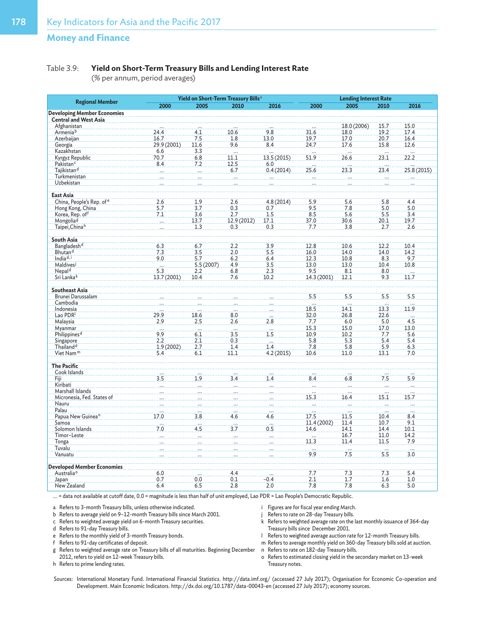#### Table 3.9: **Yield on Short-Term Treasury Bills and Lending Interest Rate**

(% per annum, period averages)

|                                                                    | Yield on Short-Term Treasury Bills <sup>a</sup> | <b>Lending Interest Rate</b> |                          |                            |                          |                 |                          |                          |
|--------------------------------------------------------------------|-------------------------------------------------|------------------------------|--------------------------|----------------------------|--------------------------|-----------------|--------------------------|--------------------------|
| <b>Regional Member</b>                                             | 2000                                            | 2005                         | 2010                     | 2016                       | 2000                     | 2005            | 2010                     | 2016                     |
| <b>Developing Member Economies</b><br><b>Central and West Asia</b> |                                                 |                              |                          |                            |                          |                 |                          |                          |
| Afghanistan                                                        |                                                 |                              |                          |                            |                          | 18.0 (2006)     | 15.7                     | 15.0                     |
| Armeniab                                                           | 24.4                                            | 4.1                          | 10.6                     | 9.8                        | 31.6                     | 18.0            | 19.2                     | 17.4                     |
| Azerbaijan                                                         | 16.7                                            | 7.5                          | 1.8                      | 13.0                       | 19.7                     | 17.0            | 20.7                     | 16.4                     |
| Georgia                                                            | 29.9 (2001)                                     | 11.6                         | 9.6                      | 8.4                        | 24.7                     | 17.6            | 15.8                     | 12.6                     |
| Kazakhstan                                                         | 6.6                                             | 3.3                          |                          |                            |                          |                 |                          |                          |
| Kyrgyz Republic                                                    | 70.7                                            | 6.8                          | $\cdots$<br>11.1         | 13.5 (2015)                | 51.9                     | .<br>26.6       | 23.1                     | 22.2                     |
|                                                                    |                                                 |                              |                          |                            |                          |                 |                          |                          |
| Pakistan <sup>c</sup>                                              | 8.4                                             | 7.2                          | 12.5                     | 6.0                        |                          |                 |                          |                          |
| Tajikistan <sup>d</sup>                                            | $\cdots$                                        | $\cdots$                     | 6.7                      | 0.4(2014)                  | 25.6                     | 23.3            | 23.4                     | 25.8 (2015)              |
| Turkmenistan                                                       |                                                 |                              | $\cdots$                 | $\dddotsc$                 | $\overline{\phantom{a}}$ | $\cdots$        |                          |                          |
| Uzbekistan                                                         |                                                 |                              |                          |                            |                          |                 |                          |                          |
| East Asia                                                          |                                                 |                              |                          |                            |                          |                 |                          |                          |
| China, People's Rep. of e                                          | 2.6                                             | 1.9                          | 2.6                      | 4.8(2014)                  | 5.9                      | 5.6             | 5.8                      | 4.4                      |
| Hong Kong, China                                                   | 5.7                                             | 3.7                          | 0.3                      | 0.7                        | 9.5                      | 7.8             | 5.0                      | 5.0                      |
| Korea, Rep. of <sup>f</sup>                                        | 7.1                                             | 3.6                          | 2.7                      | 1.5                        | 8.5                      | 5.6             | 5.5                      | 3.4                      |
| Mongolia <sup>g</sup>                                              |                                                 | 13.7                         | 12.9 (2012)              | 17.1                       | 37.0                     | 30.6            | 20.1                     | 19.7                     |
| Taipei, Chinah                                                     |                                                 | 1.3                          | 0.3                      | 0.3                        | 7.7                      | 3.8             | 2.7                      | 2.6                      |
|                                                                    |                                                 |                              |                          |                            |                          |                 |                          |                          |
| South Asia                                                         |                                                 |                              |                          |                            |                          |                 |                          |                          |
| Bangladeshd                                                        | 6.3                                             | 6.7                          | 2.2                      | 3.9                        | 12.8                     | 10.6            | 12.2                     | 10.4                     |
| Bhutan <sup>d</sup>                                                | 7.3                                             | 3.5                          | 2.0                      | 5.5                        | 16.0                     | 14.0            | 14.0                     | 14.2                     |
| India $d, i$                                                       | 9.0                                             | 5.7                          | 6.2                      | 6.4                        | 12.3                     | 10.8            | 8.3                      | 9.7                      |
| Maldives <sup>j</sup>                                              |                                                 | 5.5(2007)                    | 4.9                      | 3.5                        | 13.0                     | 13.0            | 10.4                     | 10.8                     |
| Nepal <sup>d</sup>                                                 | 5.3                                             | 2.2                          | 6.8                      | 2.3                        | 9.5                      | 8.1             | 8.0                      | $\overline{\mathbf{1}}$  |
| Sri Lankak                                                         | 13.7 (2001)                                     | 10.4                         | 7.6                      | 10.2                       | 14.3 (2001)              | 12.1            | 9.3                      | 11.7                     |
|                                                                    |                                                 |                              |                          |                            |                          |                 |                          |                          |
| <b>Southeast Asia</b>                                              |                                                 |                              |                          |                            |                          |                 |                          |                          |
| Brunei Darussalam                                                  |                                                 |                              |                          |                            | 5.5                      | 5.5             | 5.5                      | 5.5                      |
| Cambodia                                                           |                                                 |                              |                          |                            |                          |                 |                          |                          |
| Indonesia                                                          |                                                 |                              |                          |                            | 18.5                     | 14.1            | 13.3                     | 11.9                     |
| Lao PDR                                                            | 29.9                                            | 18.6                         | 8.0                      |                            | 32.0                     | 26.8            | 22.6                     |                          |
| Malaysia                                                           | 2.9                                             | 2.5                          | 2.6                      | $\overline{\cdots}$<br>2.8 | 7.7                      | 6.0             | 5.0                      | $\ddots$<br>4.5          |
|                                                                    |                                                 |                              |                          |                            | 15.3                     | 15.0            |                          | 13.0                     |
| Myanmar                                                            | $rac{1}{9.9}$                                   | $\dddotsc$                   | $\overline{\phantom{a}}$ | $\cdots$                   |                          |                 | 17.0                     |                          |
| Philippines <sup>d</sup>                                           |                                                 | 6.1                          | 3.5                      | 1.5                        | 10.9                     | 10.2            | 7.7                      | 5.6                      |
| Singapore                                                          | 2.2                                             | 2.1                          | 0.3                      | $\cdots$                   | 5.8                      | 5.3             | 5.4                      | 5.4                      |
| Thailand <sup>d</sup>                                              | 1.9(2002)                                       | 2.7                          | 1.4                      | 1.4                        | 7.8                      | 5.8             | 5.9                      | 6.3                      |
| Viet Nam <sup>m</sup>                                              | 5.4                                             | 6.1                          | 11.1                     | 4.2(2015)                  | 10.6                     | 11.0            | 13.1                     | 7.0                      |
| <b>The Pacific</b>                                                 |                                                 |                              |                          |                            |                          |                 |                          |                          |
| Cook Islands                                                       | $\overline{\mathbf{r}}$                         | $\overline{\mathbf{r}}$      | $\overline{\mathbf{1}}$  |                            | $\cdots$                 |                 |                          |                          |
| Fiji                                                               | 3.5                                             | 1.9                          | 3.4                      | 1.4                        | 8.4                      | 6.8             | 7.5                      | 5.9                      |
| Kiribati                                                           |                                                 |                              | $\mathbf{r}$             |                            | $\cdots$                 | $\sim$          |                          | $\ddots$                 |
| Marshall Islands                                                   |                                                 |                              |                          |                            | لتعادل                   |                 |                          |                          |
| Micronesia, Fed. States of                                         |                                                 |                              |                          |                            | 15.3                     | 16.4            | 15.1                     | 15.7                     |
| Nauru                                                              |                                                 |                              |                          |                            | <u>.</u>                 | <b>College</b>  | .                        | $\cdots$                 |
| Palau                                                              |                                                 | $\cdots$                     | $\overline{\phantom{a}}$ | $\cdots$                   |                          |                 |                          | $\overline{\phantom{a}}$ |
| Papua New Guinea <sup>n</sup>                                      | 17.0                                            | 3.8                          | 4.6                      | 4.6                        | 17.5                     | 11.5            | 10.4                     | 8.4                      |
| Samoa                                                              | $\mathbf{r}$                                    | $\mathbf{r}$                 | $\overline{\phantom{a}}$ | $\mathbf{r}$               | 11.4 (2002)              | 11.4            | 10.7                     | 9.1                      |
| Solomon Islands                                                    | 7.0                                             | 4.5                          | 3.7                      | 0.5                        | 14.6                     | 14.1            | 14.4                     | 10.1                     |
| Timor-Leste                                                        |                                                 |                              |                          |                            |                          | 16.7            | 11.0                     | 14.2                     |
|                                                                    |                                                 |                              | $\overline{\phantom{a}}$ |                            |                          |                 |                          |                          |
| <b>Tonga</b>                                                       |                                                 |                              |                          |                            | 11.3                     | 11.4            | 11.5                     | 7.9                      |
| Tuvalu                                                             |                                                 |                              |                          |                            | $\cdots$                 | $\frac{1}{7.5}$ | $\overline{\mathcal{L}}$ |                          |
| Vanuatu                                                            |                                                 |                              |                          |                            | 9.9                      |                 | 5.5                      | $\overline{3.0}$         |
| <b>Developed Member Economies</b>                                  |                                                 |                              |                          |                            |                          |                 |                          |                          |
| Australia <sup>o</sup>                                             | 6.0                                             |                              | 4.4                      |                            | 7.7                      | 7.3             | 7.3                      | 5.4                      |
| Japan                                                              | 0.7                                             | 0.0                          | 0.1                      | $-0.4$                     | 2.1                      | 1.7             | 1.6                      | 1.0                      |
| New Zealand                                                        | 6.4                                             | 6.5                          | 2.8                      | 2.0                        | 7.8                      | 7.8             | 6.3                      | 5.0                      |

... = data not available at cutoff date, 0.0 = magnitude is less than half of unit employed, Lao PDR = Lao People's Democratic Republic.

a Refers to 3-month Treasury bills, unless otherwise indicated.

b Refers to average yield on 9–12-month Treasury bills since March 2001.

c Refers to weighted average yield on 6-month Treasury securities.

- d Refers to 91-day Treasury bills.
- e Refers to the monthly yield of 3-month Treasury bonds.
- f Refers to 91-day certificates of deposit.
- i Figures are for fiscal year ending March. j Refers to rate on 28-day Treasury bills.
- k Refers to weighted average rate on the last monthly issuance of 364-day Treasury bills since December 2001.
- l Refers to weighted average auction rate for 12-month Treasury bills.
- m Refers to average monthly yield on 360-day Treasury bills sold at auction.
- n Refers to rate on 182-day Treasury bills.
- o Refers to estimated closing yield in the secondary market on 13-week Treasury notes.
- g Refers to weighted average rate on Treasury bills of all maturities. Beginning December 2012, refers to yield on 12-week Treasury bills.

h Refers to prime lending rates.

Sources: International Monetary Fund. International Financial Statistics. http://data.imf.org/ (accessed 27 July 2017); Organisation for Economic Co-operation and Development. Main Economic Indicators. http://dx.doi.org/10.1787/data-00043-en (accessed 27 July 2017); economy sources.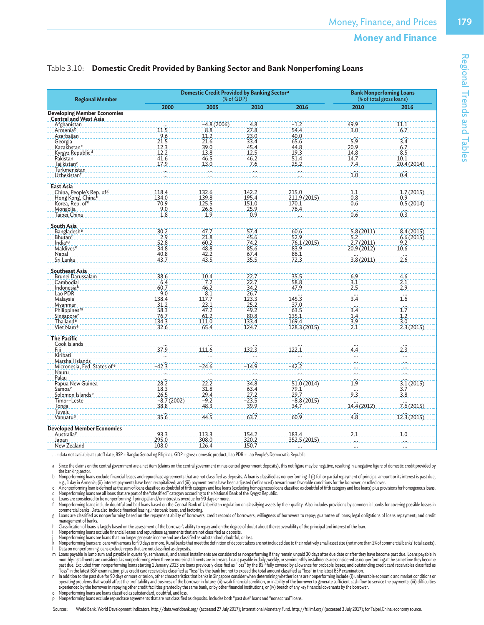## Table 3.10: **Domestic Credit Provided by Banking Sector and Bank Nonperfoming Loans**

| <b>Regional Member</b>                             |                      | <b>Domestic Credit Provided by Banking Sectora</b><br>$%$ of GDP) | <b>Bank Nonperfoming Loans</b><br>(% of total gross loans) |                            |                                 |                                 |
|----------------------------------------------------|----------------------|-------------------------------------------------------------------|------------------------------------------------------------|----------------------------|---------------------------------|---------------------------------|
|                                                    | 2000                 | 2005                                                              | 2010                                                       | 2016                       | 2010                            | 2016                            |
| <b>Developing Member Economies</b>                 |                      |                                                                   |                                                            |                            |                                 |                                 |
| <b>Central and West Asia</b>                       |                      |                                                                   |                                                            |                            |                                 |                                 |
| <b>Afghanistan</b>                                 |                      | $-4.8(2006)$                                                      | $\frac{4.8}{27.8}$                                         | $-1.2$<br>54.4             | 49.9                            | 11.1                            |
| Armeniab                                           | 11.5                 | $\frac{8.8}{11.2}$                                                |                                                            |                            | 3.0                             | 6.7                             |
| Azerbaijan                                         | 9.6                  |                                                                   | 23.0                                                       | 40.0                       | $\overline{5.9}$                |                                 |
| Georgia                                            | 21.5                 | 21.6                                                              | 33.4                                                       | 65.6                       |                                 | $\frac{3.4}{6.7}$               |
| Kazakhstan <sup>c</sup>                            | 12.3                 | 39.0                                                              | 45.4                                                       | 44.8                       | 20.9                            |                                 |
| Kyrgyz Republic <sup>d</sup><br>Pakistan           | 12.2                 | 13.8                                                              | 12.5                                                       | 19.3                       | 14.8                            |                                 |
|                                                    | 41.6                 | 46.5                                                              | 46.2                                                       | 51.4                       | 14.7                            | 10.1                            |
| Tajikistan <sup>e</sup>                            | 17.9                 | 13.0                                                              | 7.6                                                        | 25.2                       | 7.4                             | 20.4 (2014)                     |
| Turkmenistan<br>Uzbekistan <sup>f</sup>            |                      |                                                                   |                                                            |                            | .<br>1.0                        | $\overline{0.4}$                |
|                                                    |                      |                                                                   |                                                            |                            |                                 |                                 |
| <b>East Asia</b>                                   |                      |                                                                   |                                                            |                            |                                 |                                 |
| China, People's Rep. of <sup>g</sup>               | 118.4                |                                                                   |                                                            | 215.0                      | 1.1                             | 1.7(2015)                       |
| Hong Kong, Chinah                                  | 134.0                |                                                                   | 142.2<br>195.4                                             | 211.9 (2015)               | 0.8                             | 0.9                             |
| Korea, Rep. of <sup>e</sup>                        | 70.9                 | 132.6<br>139.8<br>125.5                                           | 151.0                                                      | 170.1                      | 0.6                             | 0.5(2014)                       |
| Mongolia                                           | 9.0                  | 26.6                                                              | 25.9                                                       | 76.4                       |                                 |                                 |
| Taipei, China                                      | 1.8                  | 1.9                                                               | 0.9                                                        |                            | $0.\dot{6}$                     | $\overline{0.3}$                |
|                                                    |                      |                                                                   |                                                            |                            |                                 |                                 |
| <b>South Asia</b><br><b>Bangladesh<sup>e</sup></b> | 30.2                 | 47.7                                                              |                                                            | 60.6                       |                                 |                                 |
| Bhutane                                            |                      | 21.8                                                              | 57.4<br>45.6                                               | 52.9                       |                                 |                                 |
| India <sup>e,i</sup>                               | $\frac{2.9}{52.8}$   | 60.2                                                              | 74.2                                                       | 76.1 (2015)                | 5.8 (2011)<br>5.2<br>2.7 (2011) | 8.4 (2015)<br>6.6 (2015)<br>9.2 |
| Maldives <sup>e</sup>                              | 34.8                 | 48.8                                                              | 85.6                                                       | 83.9                       | 20.9 (2012)                     | 10.6                            |
| Nepal                                              | 40.8                 | 42.2                                                              | 67.4                                                       | 86.1                       |                                 |                                 |
| Sri Lanka                                          | 43.7                 | 43.5                                                              | 35.5                                                       | 72.3                       | 3.8(2011)                       | $\overline{2.6}$                |
|                                                    |                      |                                                                   |                                                            |                            |                                 |                                 |
| <b>Southeast Asia</b>                              |                      |                                                                   |                                                            |                            |                                 |                                 |
| Brunei Darussalam                                  | 38.6                 | 10.4                                                              | 22.7                                                       | 35.5                       | 6.9                             | 4.6                             |
| Cambodia <sup>j</sup>                              | 6.4                  | 7.2                                                               | 22.7                                                       | 58.8                       | 3.1                             | 2.1                             |
| Indonesia <sup>k</sup>                             | 60.7                 | 46.2                                                              | 34.2                                                       | 47.9                       | 2.5                             | 2.9.                            |
| Lao PDR                                            | 9.0                  | $\frac{8.1}{117.7}$                                               | $\frac{26.7}{123.3}$                                       |                            | ليبين                           |                                 |
| Malaysia <sup>I</sup>                              | 138.4                |                                                                   |                                                            | 145.3                      | 3.4                             | 1.6                             |
| Myanmar                                            | 31.2                 | 23.1                                                              | 25.2                                                       | 37.0                       | ille de                         | $\frac{1}{1}$                   |
| Philippines <sup>m</sup>                           | 58.3<br>76.7         | 47.2<br>61.2                                                      | 49.2<br>80.8                                               | 63.5<br>135.1              | 3.4                             | 1.2                             |
| Singapore <sup>n</sup>                             | 134.3                | 111.0                                                             | 133.4                                                      | 169.4                      | $\frac{1.4}{3.9}$               | 3.0                             |
| Viet Nam <sup>e</sup>                              | 32.6                 | 65.4                                                              | 124.7                                                      | 128.3 (2015)               | 2.1                             | 2.3(2015)                       |
|                                                    |                      |                                                                   |                                                            |                            |                                 |                                 |
| <b>The Pacific</b>                                 |                      |                                                                   |                                                            |                            |                                 |                                 |
| Cook Islands                                       |                      |                                                                   |                                                            |                            |                                 |                                 |
| Fiji<br>Kiribati                                   | $\frac{37.9}{ }$     | 111.6                                                             | $\frac{132.3}{ }$                                          | 122.1                      | 4.4                             | 2.3                             |
|                                                    |                      |                                                                   |                                                            |                            |                                 |                                 |
| Marshall Islands                                   |                      |                                                                   |                                                            |                            |                                 |                                 |
| Micronesia, Fed. States of e                       | $-42.3$              | $-24.6$                                                           | $-14.9$                                                    | $-42.2$                    |                                 |                                 |
| Nauru                                              |                      |                                                                   |                                                            |                            |                                 |                                 |
| Palau                                              | 28.2                 | $\frac{1}{22.2}$                                                  |                                                            |                            | $\frac{1}{9}$                   |                                 |
| Papua New Guinea<br>Samoa <sup>e</sup>             | 18.3                 | 31.8                                                              | 34.8<br>63.4                                               | $\frac{51.0}{79.1}$ (2014) |                                 | 3.1(2015)                       |
|                                                    |                      |                                                                   |                                                            |                            | 9.3                             | $\frac{3.7}{3.8}$               |
| Solomon Islands <sup>e</sup><br>Timor-Leste        | 26.5<br>$-8.7(2002)$ | 29.4<br>$-9.2$                                                    | 27.2<br>$-23.5$                                            | 29.7<br>$-8.8(2015)$       |                                 |                                 |
| <b>Tonga</b>                                       | 38.8                 | 48.3                                                              | 39.9                                                       | 34.7                       | 14.4 (2012)                     | 7.6(2015)                       |
| <b>Tuvalu</b>                                      |                      |                                                                   |                                                            |                            |                                 |                                 |
| Vanuatu <sup>o</sup>                               | 35.6                 | $\frac{44.5}{9}$                                                  | 63.7                                                       | 60.9                       | 4.8                             | $12.\overline{3} (2015)$        |
|                                                    |                      |                                                                   |                                                            |                            |                                 |                                 |
| <b>Developed Member Economies</b>                  |                      |                                                                   |                                                            |                            |                                 |                                 |
| Australia <sup>p</sup>                             | 93.3                 | 113.3                                                             | 154.2                                                      | 183.4                      | 2.1                             | 1.0                             |
| Japan                                              | 295.0                | 308.0                                                             | 320.2                                                      | 352.5 (2015)               | $\cdots$                        |                                 |
| New Zealand                                        | 108.0                | 126.4                                                             | 150.7                                                      |                            | $\ddotsc$                       |                                 |

... = data not available at cutoff date, BSP = Bangko Sentral ng Pilipinas, GDP = gross domestic product, Lao PDR = Lao People's Democratic Republic.

a Since the claims on the central government are a net item (claims on the central government minus central government deposits), this net figure may be negative, resulting in a negative figure of domestic credit provided the banking sector.

b Nonperforming loans exclude financial leases and repurchase agreements that are not classified as deposits. A loan is classified as nonperforming if (i) full or partial repayment of principal amount or its interest is pa

d – Nonperforming loans are all loans that are part of the "classified" category according to the National Bank of the Kyrgyz Republic.<br>e – Loans are considered to be nonperforming if principal and or interest is overdue f

commercial banks. Data also include tinanical leasing, interbank loans, and tactoring.<br>g Loans are classified as nonperforming based on the repayment ability of borrowers; credit records of borrowers; willingness of borrow management of banks.

h - Classitication of loans is largely based on the assessment of the borrower's ability to repay and on the degree of doubt about the recoverability of the principal and interest of the loan.<br>i - Nonperforming loans exclu

Nonperforming loans are loans with arrears for 90 days or more. Rural banks that meet the definition of deposit takers are not included due to their relatively small asset size (not more than 2% of commercial banks' total

Loans payable in lump sum and payable in quarterly, semiannual, and annual installments are considered as nonperforming if they remain unpaid 30 days after due date or after they have become past due. Loans payable in monthly installments are considered as nonperforming when three or more installments are in arrears. Loans payable in daily, weekly, or semimonthly installments are considered as nonperforming at the same time they become<br>

n addition to the past due for 90 days or more criterion, other characteristics that banks in Singapore consider when determining whether loans are nonperforming include (i) unfavorable economic and market conditions or<br>op experienced by the borrower in repaying other credit facilities granted by the same bank, or by other financial institutions; or (iv) breach of any key financial covenants by the borrower

o Nonperforming Ioans are Ioans classified as substandard, doubtful, and loss.<br>p Nonperforming loans exclude repurchase agreements that are not classified as deposits. Includes both "past due" loans and "nonaccrual

Sources: World Bank. World Development Indicators. http://data.worldbank.org/ (accessed 27 July 2017); International Monetary Fund. http://fsi.imf.org/ (accessed 3 July 2017); for Taipei,China: economy source.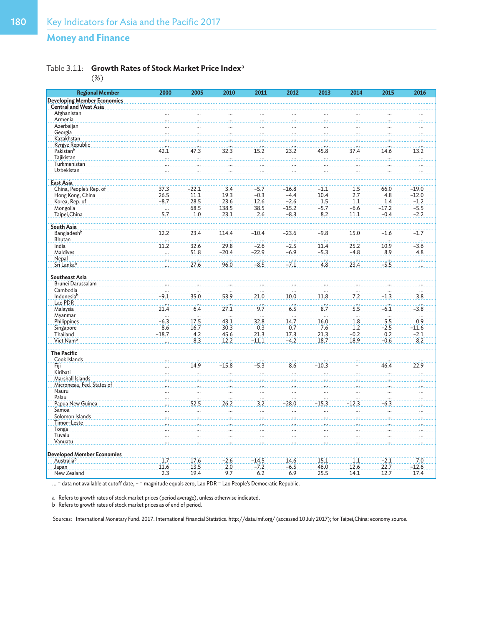## Table 3.11: **Growth Rates of Stock Market Price Index**<sup>a</sup>

(%)

| <b>Regional Member</b>             | 2000            | 2005                     | 2010             | 2011                     | 2012            | 2013            | 2014            | 2015     | 2016     |
|------------------------------------|-----------------|--------------------------|------------------|--------------------------|-----------------|-----------------|-----------------|----------|----------|
| <b>Developing Member Economies</b> |                 |                          |                  |                          |                 |                 |                 |          |          |
| <b>Central and West Asia</b>       |                 |                          |                  |                          |                 |                 |                 |          |          |
| Afghanistan                        |                 |                          |                  |                          |                 |                 |                 |          |          |
| Armenia                            |                 |                          |                  |                          |                 |                 |                 |          |          |
| Azerbaijan                         |                 |                          |                  |                          |                 |                 |                 |          |          |
| Georgia                            |                 |                          |                  |                          |                 |                 |                 |          |          |
| Kazakhstan                         |                 |                          |                  |                          |                 |                 |                 |          |          |
| Kyrgyz Republic                    |                 |                          |                  |                          |                 |                 |                 |          |          |
| Pakistan <sup>b</sup>              | 42.1            | 47.3                     | 32.3             | 15.2                     | 23.2            | 45.8            | 37.4            | 14.6     | 13.2     |
| Tajikistan                         |                 |                          |                  |                          |                 |                 |                 |          |          |
| Turkmenistan                       |                 |                          |                  |                          |                 |                 |                 |          |          |
| Uzbekistan                         |                 |                          |                  |                          |                 |                 |                 |          |          |
|                                    |                 |                          |                  |                          |                 |                 |                 |          |          |
| <b>East Asia</b>                   |                 |                          |                  |                          |                 |                 |                 |          |          |
| China, People's Rep. of            | 37.3            | $-22.1$                  | 3.4              | $-5.7$                   | $-16.8$         | $-1.1$          | 1.5             | 66.0     | $-19.0$  |
| Hong Kong, China                   | 26.5            | 11.1                     | 19.3             | $-0.3$                   | $-4.4$          | 10.4            | 2.7             | 4.8      | $-12.0$  |
| Korea, Rep. of                     | $-8.7$          | 28.5                     | 23.6             | 12.6                     | $-2.6$          | 1.5             | 1.1             | 1.4      | $-1.2$   |
| Mongolia                           |                 | 68.5                     | 138.5            | 38.5                     | $-15.2$         | $-5.7$          | $-6.6$          | $-17.2$  | $-5.5$   |
| Taipei, China                      | $\frac{1}{5.7}$ | 1.0                      | 23.1             | 2.6                      | $-8.3$          | 8.2             | 11.1            | $-0.4$   | $-2.2$   |
|                                    |                 |                          |                  |                          |                 |                 |                 |          |          |
| <b>South Asia</b>                  |                 |                          |                  |                          |                 |                 |                 |          |          |
| Bangladeshb                        | 12.2            | 23.4                     | 114.4            | $-10.4$                  | $-23.6$         | $-9.8$          | 15.0            | $-1.6$   | $-1.7$   |
| Bhutan                             | $\cdots$        |                          |                  |                          |                 |                 |                 |          |          |
| India                              | 11.2            | 32.6                     | 29.8             | $-2.6$                   | $-2.5$          | 11.4            | 25.2            | 10.9     | $-3.6$   |
| Maldives                           |                 | 51.8                     | $-20.4$          | $-22.9$                  | $-6.9$          | $-5.3$          | $-4.8$          | 8.9      | 4.8      |
| Nepal                              |                 | $\cdots$                 |                  |                          | $\cdots$        | .               | $\cdots$        | $\cdots$ |          |
| Sri Lankab                         |                 | 27.6                     | 96.0             | $-8.5$                   | $-7.1$          | 4.8             | 23.4            | $-5.5$   |          |
|                                    |                 |                          |                  |                          |                 |                 |                 |          |          |
| <b>Southeast Asia</b>              |                 |                          |                  |                          |                 |                 |                 |          |          |
| Brunei Darussalam                  |                 |                          |                  |                          |                 |                 |                 |          |          |
| Cambodia                           |                 |                          |                  |                          |                 |                 |                 |          |          |
| Indonesiab                         | $-9.1$          | 35.0                     | 53.9             | 21.0                     | 10.0            | 11.8            | 7.2             | $-1.3$   | 3.8      |
| Lao PDR                            |                 |                          | $\frac{1}{27.1}$ | $\frac{1}{9.7}$          |                 | $\frac{1}{8.7}$ | $\frac{1}{5.5}$ |          | $\cdots$ |
| Malaysia                           | 21.4            | 6.4                      |                  |                          | 6.5             |                 |                 | $-6.1$   | $-3.8$   |
| Myanmar                            | $\cdots$        | $\cdots$                 | $\ddotsc$        | $\cdots$                 | $\cdots$        | $\cdots$        | $\ddots$        | $\cdots$ | .        |
| Philippines                        | $-6.3$          | 17.5                     | 43.1             | 32.8                     | 14.7            | 16.0            | 1.8             | 5.5      | 0.9      |
| Singapore                          | 8.6             | 16.7                     | 30.3             | 0.3                      | 0.7             | 7.6             | 1.2             | $-2.5$   | $-11.6$  |
| Thailand                           | $-18.7$         | 4.2                      | 45.6             | 21.3                     | 17.3            | 21.3            | $-0.2$          | 0.2      | $-2.1$   |
| Viet Nam <sup>b</sup>              |                 | 8.3                      | 12.2             | $-11.1$                  | $-4.2$          | 18.7            | 18.9            | $-0.6$   | 8.2      |
| <b>The Pacific</b>                 |                 |                          |                  |                          |                 |                 |                 |          |          |
| Cook Islands                       |                 |                          |                  |                          |                 |                 |                 |          |          |
| Fiji                               |                 | 14.9                     | $-15.8$          | 3<br>$-5.$               | $\cdots$<br>8.6 | $-10.3$         |                 | 46.4     | 22.9     |
| Kiribati                           |                 |                          |                  |                          |                 |                 |                 |          |          |
| Marshall Islands                   |                 |                          |                  |                          | $\cdots$        |                 |                 |          |          |
| Micronesia, Fed. States of         |                 |                          |                  |                          |                 |                 |                 |          |          |
| Nauru                              |                 |                          |                  |                          |                 |                 |                 |          |          |
| Palau                              |                 |                          |                  |                          | $\cdots$        |                 |                 |          |          |
| Papua New Guinea                   |                 | 52.5                     | 26.2             | 3.2                      | $-28.0$         | $-15.3$         | $-12.3$         | -6.3     |          |
| Samoa                              |                 | $\overline{\phantom{a}}$ |                  | $\overline{\phantom{a}}$ | $\cdots$        |                 |                 |          |          |
| Solomon Islands                    |                 |                          |                  |                          |                 |                 |                 |          |          |
| Timor-Leste                        |                 |                          |                  |                          |                 |                 |                 |          |          |
| Tonga                              |                 |                          |                  |                          |                 |                 |                 |          |          |
| Tuvalu                             |                 |                          |                  |                          |                 |                 |                 |          |          |
| Vanuatu                            |                 |                          |                  |                          |                 |                 |                 |          |          |
|                                    |                 |                          |                  |                          |                 |                 |                 |          |          |
| <b>Developed Member Economies</b>  |                 |                          |                  |                          |                 |                 |                 |          |          |
| Australiab                         | 1.7             | 17.6                     | $-2.6$           | $-14.5$                  | 14.6            | 15.1            | 1.1             | $-2.1$   | 7.0      |
| Japan                              | 11.6            | 13.5                     | 2.0              | $-7.2$                   | $-6.5$          | 46.0            | 12.6            | 22.7     | $-12.6$  |
| New Zealand                        | 2.3             | 19.4                     | 9.7              | 6.2                      | 6.9             | 25.5            | 14.1            | 12.7     | 17.4     |

... = data not available at cutoff date, – = magnitude equals zero, Lao PDR = Lao People's Democratic Republic.

a Refers to growth rates of stock market prices (period average), unless otherwise indicated.

b Refers to growth rates of stock market prices as of end of period.

Sources: International Monetary Fund. 2017. International Financial Statistics. http://data.imf.org/ (accessed 10 July 2017); for Taipei,China: economy source.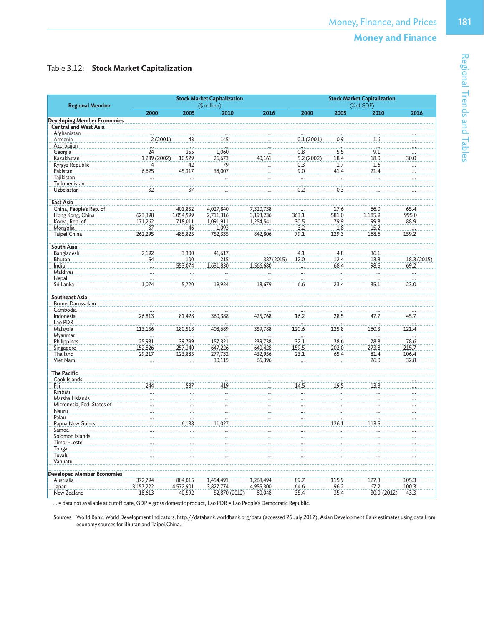## Table 3.12: **Stock Market Capitalization**

| <b>Regional Member</b>                                             |              |           | <b>Stock Market Capitalization</b><br>(\$ million) |            | <b>Stock Market Capitalization</b><br>(% of GDP) |                  |             |                                   |  |
|--------------------------------------------------------------------|--------------|-----------|----------------------------------------------------|------------|--------------------------------------------------|------------------|-------------|-----------------------------------|--|
|                                                                    | 2000         | 2005      | 2010                                               | 2016       | 2000                                             | 2005             | 2010        | 2016                              |  |
| <b>Developing Member Economies</b><br><b>Central and West Asia</b> |              |           |                                                    |            |                                                  |                  |             |                                   |  |
| Afghanistan                                                        |              |           |                                                    |            |                                                  |                  |             |                                   |  |
| Armenia                                                            | 2(2001)      | 43        | 145                                                |            | 0.1(2001)                                        | 0.9              | 1.6         |                                   |  |
| Azerbaijan                                                         |              |           |                                                    |            |                                                  |                  | .           |                                   |  |
| Georgia                                                            | 24           | 355       | 1,060                                              |            | 0.8                                              | 5.5              | 9.1         |                                   |  |
| Kazakhstan                                                         | 1,289 (2002) | 10,529    | 26.673                                             | 40,161     | 5.2(2002)                                        | 18.4             | 18.0        | 30.0                              |  |
| Kyrgyz Republic                                                    | 4            | 42        | 79                                                 |            | 0.3                                              | 1.7              | 1.6         |                                   |  |
| Pakistan                                                           | 6,625        | 45,317    | 38,007                                             |            | 9.0                                              | 41.4             | 21.4        |                                   |  |
| Tajikistan                                                         |              |           |                                                    |            | $\sim$                                           |                  |             |                                   |  |
| Turkmenistan                                                       | m.           |           |                                                    |            |                                                  | $\cdot$          |             |                                   |  |
| Uzbekistan                                                         | 32           | 37        |                                                    |            | 0.2                                              | 0.3              |             |                                   |  |
| <b>East Asia</b>                                                   |              |           |                                                    |            |                                                  |                  |             |                                   |  |
| China, People's Rep. of                                            |              | 401,852   | 4,027,840                                          | 7,320,738  |                                                  | 17.6             | 66.0        | 65.4                              |  |
| Hong Kong, China                                                   | 623,398      | 1,054,999 | 2,711,316                                          | 3,193,236  | 363.1                                            | 581.0            | 1,185.9     | 995.0                             |  |
| Korea, Rep. of                                                     | 171,262      | 718,011   | 1,091,911                                          | 1,254,541  | 30.5                                             | 79.9             | 99.8        | 88.9                              |  |
| Mongolia                                                           | 37           | 46        | 1,093                                              |            | 3.2                                              | 1.8              | 15.2        |                                   |  |
| Taipei, China                                                      | 262,295      | 485,825   | 752,335                                            | 842,806    | 79.1                                             | 129.3            | 168.6       | 159.2                             |  |
|                                                                    |              |           |                                                    |            |                                                  |                  |             |                                   |  |
| <b>South Asia</b>                                                  |              |           |                                                    |            |                                                  |                  |             |                                   |  |
| Bangladesh                                                         | 2,192        | 3,300     | 41,617                                             |            | 4.1                                              | 4.8              | 36.1        |                                   |  |
| Bhutan                                                             | 54           | 100       | 215                                                | 387 (2015) | 12.0                                             | 12.4             | 13.8        | 18.3 (2015)                       |  |
| India                                                              |              | 553,074   | 1,631,830                                          | 1,566,680  |                                                  | 68.4             | 98.5        | 69.2                              |  |
| <b>Maldives</b>                                                    |              |           |                                                    |            |                                                  | $\ddotsc$        |             |                                   |  |
| Nepal                                                              |              |           |                                                    |            |                                                  |                  |             |                                   |  |
| Sri Lanka                                                          | 1,074        | 5,720     | 19,924                                             | 18,679     | 6.6                                              | 23.4             | 35.1        | 23.0                              |  |
| <b>Southeast Asia</b>                                              |              |           |                                                    |            |                                                  |                  |             |                                   |  |
| Brunei Darussalam                                                  |              |           |                                                    |            |                                                  |                  |             |                                   |  |
| Cambodia                                                           |              |           |                                                    |            |                                                  |                  |             |                                   |  |
| Indonesia                                                          | 26,813       | 81,428    | 360,388                                            | 425,768    | 16.2                                             | $\frac{1}{28.5}$ | 47.7        | 45.7                              |  |
| Lao PDR                                                            |              |           |                                                    |            |                                                  |                  |             |                                   |  |
| Malaysia                                                           | 113,156      | 180,518   | 408,689                                            | 359,788    | 120.6                                            | 125.8            | 160.3       | $\overline{\phantom{a}}$<br>121.4 |  |
| Myanmar                                                            |              |           |                                                    |            |                                                  |                  |             |                                   |  |
| Philippines                                                        | 25,981       | 39,799    | 157,321                                            | 239,738    | 32.1                                             | 38.6             | 78.8        | 78.6                              |  |
| Singapore                                                          | 152,826      | 257,340   | 647,226                                            | 640,428    | 159.5                                            | 202.0            | 273.8       | 215.7                             |  |
| Thailand                                                           | 29,217       | 123,885   | 277,732                                            | 432,956    | 23.1                                             | 65.4             | 81.4        | 106.4                             |  |
| Viet Nam                                                           |              |           | 30,115                                             | 66,396     |                                                  |                  | 26.0        | 32.8                              |  |
|                                                                    |              |           |                                                    |            |                                                  |                  |             |                                   |  |
| <b>The Pacific</b>                                                 |              |           |                                                    |            |                                                  |                  |             |                                   |  |
| Cook Islands                                                       |              |           |                                                    |            |                                                  |                  |             |                                   |  |
| Fiji                                                               | 244          | 587       | 419                                                |            | 14.5                                             | 19.5             | 13.3        |                                   |  |
| Kiribati                                                           |              |           |                                                    |            |                                                  |                  |             |                                   |  |
| Marshall Islands                                                   |              |           |                                                    |            |                                                  |                  |             |                                   |  |
| Micronesia, Fed. States of                                         |              |           |                                                    |            |                                                  |                  |             |                                   |  |
| Nauru                                                              |              |           |                                                    |            |                                                  |                  |             |                                   |  |
| Palau                                                              |              |           |                                                    |            |                                                  |                  |             |                                   |  |
| Papua New Guinea                                                   |              | 6,138     | 11.027                                             |            |                                                  | 126.1            | 113.5       |                                   |  |
| Samoa                                                              |              |           | $\dddotsc$                                         |            |                                                  |                  |             |                                   |  |
| Solomon Islands                                                    |              |           |                                                    |            |                                                  |                  |             |                                   |  |
| Timor-Leste                                                        |              |           |                                                    |            |                                                  |                  |             |                                   |  |
| Tonga                                                              |              |           |                                                    |            |                                                  |                  |             |                                   |  |
| Tuvalu                                                             |              |           |                                                    |            |                                                  |                  |             |                                   |  |
| Vanuatu                                                            |              |           |                                                    |            |                                                  |                  |             |                                   |  |
|                                                                    |              |           |                                                    |            |                                                  |                  |             |                                   |  |
| <b>Developed Member Economies</b>                                  |              |           |                                                    |            |                                                  |                  |             |                                   |  |
| Australia                                                          | 372,794      | 804,015   | 1,454,491                                          | 1,268,494  | 89.7                                             | 115.9            | 127.3       | 105.3                             |  |
| Japan                                                              | 3,157,222    | 4,572,901 | 3,827,774                                          | 4,955,300  | 64.6                                             | 96.2             | 67.2        | 100.3                             |  |
| New Zealand                                                        | 18,613       | 40,592    | 52,870 (2012)                                      | 80,048     | 35.4                                             | 35.4             | 30.0 (2012) | 43.3                              |  |

... = data not available at cutoff date, GDP = gross domestic product, Lao PDR = Lao People's Democratic Republic.

Sources: World Bank. World Development Indicators. http://databank.worldbank.org/data (accessed 26 July 2017); Asian Development Bank estimates using data from economy sources for Bhutan and Taipei,China.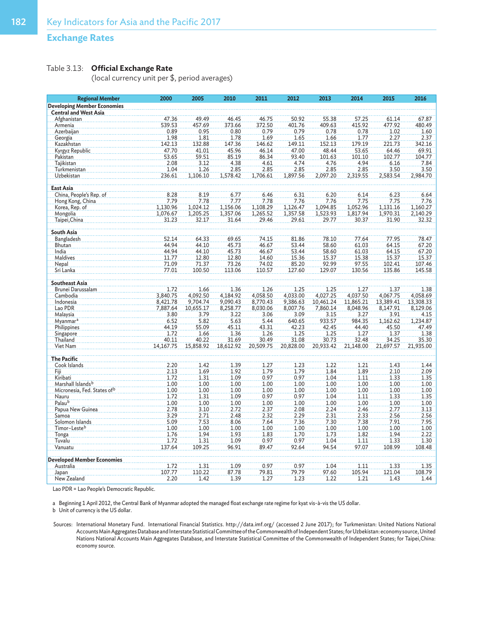## **Exchange Rates**

## Table 3.13: **Official Exchange Rate**

(local currency unit per \$, period averages)

| <b>Regional Member</b>                  | 2000          | 2005          | 2010          | 2011          | 2012          | 2013           | 2014           | 2015           | 2016           |
|-----------------------------------------|---------------|---------------|---------------|---------------|---------------|----------------|----------------|----------------|----------------|
| <b>Developing Member Economies</b>      |               |               |               |               |               |                |                |                |                |
| <b>Central and West Asia</b>            |               |               |               |               |               |                |                |                |                |
| Afghanistan                             | 47.36         | 49.49         | 46.45         | 46.75         | 50.92         | 55.38          | 57.25          | 61.14          | 67.87          |
| Armenia                                 | 539.53        | 457.69        | 373.66        | 372.50        | 401.76        | 409.63         | 415.92         | 477.92         | 480.49         |
| Azerbaijan                              | 0.89          | 0.95          | 0.80          | 0.79          | 0.79          | 0.78           | 0.78           | 1.02           | 1.60           |
| Georgia                                 | 1.98          | 1.81          | 1.78          | 1.69          | 1.65          | 1.66           | 1.77           | 2.27           | 2.37           |
| Kazakhstan                              | 142.13        | 132.88        | 147.36        | 146.62        | 149.11        | 152.13         | 179.19         | 221.73         | 342.16         |
| Kyrgyz Republic                         | 47.70         | 41.01         | 45.96         | 46.14         | 47.00         | 48.44          | 53.65          | 64.46          | 69.91          |
| Pakistan<br>Taiikistan                  | 53.65<br>2.08 | 59.51<br>3.12 | 85.19<br>4.38 | 86.34<br>4.61 | 93.40<br>4.74 | 101.63<br>4.76 | 101.10<br>4.94 | 102.77<br>6.16 | 104.77<br>7.84 |
| Turkmenistan                            | 1.04          | 1.26          | 2.85          | 2.85          | 2.85          | 2.85           | 2.85           | 3.50           | 3.50           |
| Uzbekistan                              | 236.61        | 1,106.10      | 1,578.42      | 1,706.61      | 1,897.56      | 2,097.20       | 2,319.55       | 2,583.54       | 2,984.70       |
|                                         |               |               |               |               |               |                |                |                |                |
| East Asia                               |               |               |               |               |               |                |                |                |                |
| China, People's Rep. of                 | 8.28          | 8.19          | 6.77          | 6.46          | 6.31          | 6.20           | 6.14           | 6.23           | 6.64           |
| Hong Kong, China                        | 7.79          | 7.78          | 7.77          | 7.78          | 7.76          | 7.76           | 7.75           | 7.75           | 7.76           |
| Korea, Rep. of                          | 1,130.96      | 1,024.12      | 1,156.06      | 1,108.29      | 1,126.47      | 1,094.85       | 1,052.96       | 1,131.16       | 1,160.27       |
| Mongolia                                | 1,076.67      | 1,205.25      | 1,357.06      | 1,265.52      | 1,357.58      | 1,523.93       | 1,817.94       | 1,970.31       | 2,140.29       |
| Taipei, China                           | 31.23         | 32.17         | 31.64         | 29.46         | 29.61         | 29.77          | 30.37          | 31.90          | 32.32          |
|                                         |               |               |               |               |               |                |                |                |                |
| <b>South Asia</b>                       |               |               |               |               |               |                |                |                |                |
| Bangladesh                              | 52.14         | 64.33         | 69.65         | 74.15         | 81.86         | 78.10          | 77.64          | 77.95          | 78.47          |
| Bhutan                                  | 44.94         | 44.10         | 45.73         | 46.67         | 53.44         | 58.60          | 61.03          | 64.15          | 67.20          |
| India                                   | 44.94         | 44.10         | 45.73         | 46.67         | 53.44         | 58.60          | 61.03          | 64.15          | 67.20          |
| Maldives                                | 11.77         | 12.80         | 12.80         | 14.60         | 15.36         | 15.37          | 15.38          | 15.37          | 15.37          |
| Nepal                                   | 71.09         | 71.37         | 73.26         | 74.02         | 85.20         | 92.99          | 97.55          | 102.41         | 107.46         |
| Sri Lanka                               | 77.01         | 100.50        | 113.06        | 110.57        | 127.60        | 129.07         | 130.56         | 135.86         | 145.58         |
| <b>Southeast Asia</b>                   |               |               |               |               |               |                |                |                |                |
| Brunei Darussalam                       | 1.72          | 1.66          | 1.36          | 1.26          | 1.25          | 1.25           | 1.27           | 1.37           | 1.38           |
| Cambodia                                | 3,840.75      | 4,092.50      | 4,184.92      | 4,058.50      | 4,033.00      | 4,027.25       | 4,037.50       | 4,067.75       | 4,058.69       |
| Indonesia                               | 8,421.78      | 9,704.74      | 9,090.43      | 8,770.43      | 9,386.63      | 10,461.24      | 11,865.21      | 13,389.41      | 13,308.33      |
| Lao PDR                                 | 7,887.64      | 10,655.17     | 8,258.77      | 8,030.06      | 8,007.76      | 7,860.14       | 8,048.96       | 8,147.91       | 8,129.06       |
| Malaysia                                | 3.80          | 3.79          | 3.22          | 3.06          | 3.09          | 3.15           | 3.27           | 3.91           | 4.15           |
| Myanmar <sup>a</sup>                    | 6.52          | 5.82          | 5.63          | 5.44          | 640.65        | 933.57         | 984.35         | 1,162.62       | 1,234.87       |
| Philippines                             | 44.19         | 55.09         | 45.11         | 43.31         | 42.23         | 42.45          | 44.40          | 45.50          | 47.49          |
| Singapore                               | 1.72          | 1.66          | 1.36          | 1.26          | 1.25          | 1.25           | 1.27           | 1.37           | 1.38           |
| Thailand                                | 40.11         | 40.22         | 31.69         | 30.49         | 31.08         | 30.73          | 32.48          | 34.25          | 35.30          |
| Viet Nam                                | 14,167.75     | 15,858.92     | 18,612.92     | 20,509.75     | 20,828.00     | 20,933.42      | 21,148.00      | 21,697.57      | 21,935.00      |
|                                         |               |               |               |               |               |                |                |                |                |
| <b>The Pacific</b>                      |               |               |               |               |               |                |                |                |                |
| Cook Islands                            | 2.20          | 1.42          | 1.39          | 1.27          | 1.23          | 1.22           | 1.21           | 1.43           | 1.44           |
| Fiji<br>Kiribati                        | 2.13<br>1.72  | 1.69<br>1.31  | 1.92<br>1.09  | 1.79<br>0.97  | 1.79<br>0.97  | 1.84<br>1.04   | 1.89<br>1.11   | 2.10<br>1.33   | 2.09<br>1.35   |
| Marshall Islands <sup>b</sup>           | 1.00          | 1.00          | 1.00          | 1.00          | 1.00          | 1.00           | 1.00           | 1.00           | 1.00           |
| Micronesia, Fed. States of <sup>b</sup> | 1.00          | 1.00          | 1.00          | 1.00          | 1.00          | 1.00           | 1.00           | 1.00           | 1.00           |
| Nauru                                   | 1.72          | 1.31          | 1.09          | 0.97          | 0.97          | 1.04           | 1.11           | 1.33           | 1.35           |
| Palau <sup>b</sup>                      | 1.00          | 1.00          | 1.00          | 1.00          | 1.00          | 1.00           | 1.00           | 1.00           | 1.00           |
| Papua New Guinea                        | 2.78          | 3.10          | 2.72          | 2.37          | 2.08          | 2.24           | 2.46           | 2.77           | 3.13           |
| Samoa                                   | 3.29          | 2.71          | 2.48          | 2.32          | 2.29          | 2.31           | 2.33           | 2.56           | 2.56           |
| Solomon Islands                         | 5.09          | 7.53          | 8.06          | 7.64          | 7.36          | 7.30           | 7.38           | 7.91           | 7.95           |
| Timor-Lesteb                            | 1.00          | 1.00          | 1.00          | 1.00          | 1.00          | 1.00           | 1.00           | 1.00           | 1.00           |
| Tonga                                   | 1.76          | 1.94          | 1.93          | 1.83          | 1.70          | 1.73           | 1.82           | 1.94           | 2.22           |
| Tuvalu                                  | 1.72          | 1.31          | 1.09          | 0.97          | 0.97          | 1.04           | 1.11           | 1.33           | 1.30           |
| Vanuatu                                 | 137.64        | 109.25        | 96.91         | 89.47         | 92.64         | 94.54          | 97.07          | 108.99         | 108.48         |
|                                         |               |               |               |               |               |                |                |                |                |
| <b>Developed Member Economies</b>       |               |               |               |               |               |                |                |                |                |
| Australia                               | 1.72          | 1.31          | 1.09          | 0.97          | 0.97          | 1.04           | 1.11           | 1.33           | 1.35           |
| Japan                                   | 107.77        | 110.22        | 87.78         | 79.81         | 79.79         | 97.60          | 105.94         | 121.04         | 108.79         |
| New Zealand                             | 2.20          | 1.42          | 1.39          | 1.27          | 1.23          | 1.22           | 1.21           | 1.43           | 1.44           |

Lao PDR = Lao People's Democratic Republic.

a Beginning 1 April 2012, the Central Bank of Myanmar adopted the managed float exchange rate regime for kyat vis-à-vis the US dollar.

b Unit of currency is the US dollar.

Sources: International Monetary Fund. International Financial Statistics. http://data.imf.org/ (accessed 2 June 2017); for Turkmenistan: United Nations National Accounts Main Aggregates Database and Interstate Statistical Committee of the Commonwealth of Independent States; for Uzbekistan: economy source, United Nations National Accounts Main Aggregates Database, and Interstate Statistical Committee of the Commonwealth of Independent States; for Taipei,China: economy source.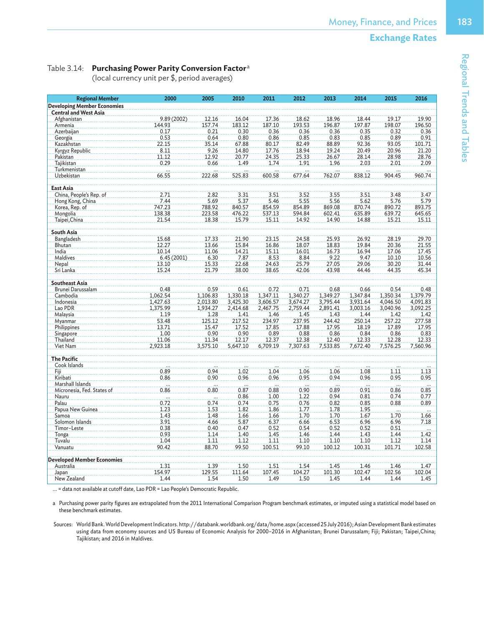## Table 3.14: **Purchasing Power Parity Conversion Factor**<sup>a</sup>

(local currency unit per \$, period averages)

| <b>Regional Member</b>                         | 2000        | 2005     | 2010     | 2011     | 2012     | 2013     | 2014           | 2015                     | 2016     |
|------------------------------------------------|-------------|----------|----------|----------|----------|----------|----------------|--------------------------|----------|
| <b>Developing Member Economies</b>             |             |          |          |          |          |          |                |                          |          |
| <b>Central and West Asia</b>                   |             |          |          |          |          |          |                |                          |          |
| Afghanistan                                    | 9.89 (2002) | 12.16    | 16.04    | 17.36    | 18.62    | 18.96    | 18.44          | 19.17                    | 19.90    |
| Armenia                                        | 144.93      | 157.74   | 183.12   | 187.10   | 193.53   | 196.87   | 197.87         | 198.07                   | 196.50   |
| Azerbaijan                                     | 0.17        | 0.21     | 0.30     | 0.36     | 0.36     | 0.36     | 0.35           | 0.32                     | 0.36     |
| Georgia                                        | 0.53        | 0.64     | 0.80     | 0.86     | 0.85     | 0.83     | 0.85           | 0.89                     | 0.91     |
| Kazakhstan                                     | 22.15       | 35.14    | 67.88    | 80.17    | 82.49    | 88.89    | 92.36          | 93.05                    | 101.71   |
| Kyrgyz Republic                                | 8.11        | 9.26     | 14.80    | 17.76    | 18.94    | 19.24    | 20.49          | 20.96                    | 21.20    |
| Pakistan                                       | 11.12       | 12.92    | 20.77    | 24.35    | 25.33    | 26.67    | 28.14          | 28.98                    | 28.76    |
| Tajikistan                                     | 0.29        | 0.66     | 1.49     | 1.74     | 1.91     | 1.96     | 2.03           | 2.01                     | 2.09     |
| Turkmenistan                                   | .           |          |          |          | m.       |          |                |                          |          |
| Uzbekistan                                     | 66.55       | 222.68   | 525.83   | 600.58   | 677.64   | 762.07   | 838.12         | 904.45                   | 960.74   |
|                                                |             |          |          |          |          |          |                |                          |          |
| East Asia                                      |             |          |          |          |          |          |                |                          |          |
| China, People's Rep. of                        | 2.71        | 2.82     | 3.31     | 3.51     | 3.52     | 3.55     | 3.51           | 3.48                     | 3.47     |
| Hong Kong, China                               | 7.44        | 5.69     | 5.37     | 5.46     | 5.55     | 5.56     | 5.62           | 5.76                     | 5.79     |
| Korea, Rep. of                                 | 747.23      | 788.92   | 840.57   | 854.59   | 854.89   | 869.08   | 870.74         | 890.72                   | 893.75   |
| Mongolia                                       | 138.38      | 223.58   | 476.22   | 537.13   | 594.84   | 602.41   | 635.89         | 639.72                   | 645.65   |
| Taipei, China                                  | 21.54       | 18.38    | 15.79    | 15.11    | 14.92    | 14.90    | 14.88          | 15.21                    | 15.11    |
|                                                |             |          |          |          |          |          |                |                          |          |
| South Asia                                     |             |          |          |          |          |          |                |                          |          |
| Bangladesh                                     | 15.68       | 17.33    | 21.90    | 23.15    | 24.58    | 25.93    | 26.92          | 28.19                    | 29.70    |
| Bhutan                                         | 12.27       | 13.66    | 15.84    | 16.86    | 18.07    | 18.83    | 19.84          | 20.36                    | 21.55    |
| India                                          | 10.14       | 11.06    | 14.21    | 15.11    | 16.01    | 16.73    | 16.94          | 17.06                    | 17.45    |
| Maldives                                       | 6.45(2001)  | 6.30     | 7.87     | 8.53     | 8.84     | 9.22     | 9.47           | 10.10                    | 10.56    |
| Nepal                                          | 13.10       | 15.33    | 22.68    | 24.63    | 25.79    | 27.05    | 29.06          | 30.20                    | 31.44    |
| Sri Lanka                                      | 15.24       | 21.79    | 38.00    | 38.65    | 42.06    | 43.98    | 44.46          | 44.35                    | 45.34    |
| <b>Southeast Asia</b>                          |             |          |          |          |          |          |                |                          |          |
| Brunei Darussalam                              | 0.48        | 0.59     | 0.61     | 0.72     | 0.71     | 0.68     | 0.66           | 0.54                     | 0.48     |
| Cambodia                                       | 1,062.54    | 1,106.83 | 1,330.18 | 1,347.11 | 1,340.27 | 1,349.27 | 1,347.84       | 1,350.34                 | 1,379.79 |
| Indonesia                                      | 1,427.63    | 2,013.80 | 3,425.30 | 3,606.57 | 3,674.27 | 3,795.44 | 3,931.64       | 4,046.50                 | 4,091.83 |
| Lao PDR                                        | 1,375.99    | 1,934.27 | 2,414.68 | 2,467.75 | 2,759.44 | 2,891.41 | 3,003.16       | 3,040.96                 | 3,092.25 |
| Malaysia                                       | 1.19        | 1.28     | 1.41     | 1.46     | 1.45     | 1.43     | 1.44           | 1.42                     | 1.42     |
| Myanmar                                        | 53.48       | 125.12   | 217.52   | 234.97   | 237.95   | 244.42   | 250.14         | 257.22                   | 277.58   |
| Philippines                                    | 13.71       | 15.47    | 17.52    | 17.85    | 17.88    | 17.95    | 18.19          | 17.89                    | 17.95    |
| Singapore                                      | 1.00        | 0.90     | 0.90     | 0.89     | 0.88     | 0.86     | 0.84           | 0.86                     | 0.83     |
| Thailand                                       | 11.06       | 11.34    | 12.17    | 12.37    | 12.38    | 12.40    | 12.33          | 12.28                    | 12.33    |
| Viet Nam                                       | 2,923.18    | 3,575.10 | 5,647.10 | 6,709.19 | 7,307.63 | 7,533.85 | 7,672.40       | 7,576.25                 | 7,560.96 |
|                                                |             |          |          |          |          |          |                |                          |          |
| <b>The Pacific</b>                             |             |          |          |          |          |          |                |                          |          |
| Cook Islands                                   |             |          |          |          |          |          |                |                          |          |
| Fiji                                           | 0.89        | 0.94     | 1.02     | 1.04     | 1.06     | 1.06     | 1.08           | 1.11                     | 1.13     |
| Kiribati                                       | 0.86        | 0.90     | 0.96     | 0.96     | 0.95     | 0.94     | 0.96           | 0.95                     | 0.95     |
| Marshall Islands                               | للمحدد      | ليتبادد  |          | $\ldots$ |          | .        | .              | $\overline{\phantom{a}}$ | .        |
| Micronesia, Fed. States of                     | 0.86        | 0.80     | 0.87     | 0.88     | 0.90     | 0.89     | 0.91           | 0.86                     | 0.85     |
| Nauru                                          | $\cdots$    |          | 0.86     | 1.00     | 1.22     | 0.94     | 0.81           | 0.74                     | 0.77     |
| Palau                                          | 0.72        | 0.74     | 0.74     | 0.75     | 0.76     | 0.82     | 0.85           | 0.88                     | 0.89     |
| Papua New Guinea                               | 1.23        | 1.53     | 1.82     | 1.86     | 1.77     | 1.78     | 1.95           | $\cdots$                 |          |
| Samoa                                          | 1.43        | 1.48     | 1.66     | 1.66     | 1.70     | 1.70     | 1.67           | 1.70                     | 1.66     |
| Solomon Islands                                | 3.91        | 4.66     | 5.87     | 6.37     | 6.66     | 6.53     | 6.96           | 6.96                     | 7.18     |
| Timor-Leste                                    | 0.38        | 0.40     | 0.47     | 0.52     | 0.54     | 0.52     | 0.52           | 0.51                     |          |
| Tonga                                          | 0.93        | 1.14     | 1.40     | 1.45     | 1.46     | 1.44     | 1.43           | 1.44                     | 1.42     |
| Tuvalu                                         | 1.04        | 1.11     | 1.12     | 1.11     | 1.10     | 1.10     | 1.10           | 1.12                     | 1.14     |
| Vanuatu                                        | 90.42       | 88.70    | 99.50    | 100.51   | 99.10    | 100.12   | 100.31         | 101.71                   | 102.58   |
|                                                |             |          |          |          |          |          |                |                          |          |
| <b>Developed Member Economies</b><br>Australia | 1.31        | 1.39     | 1.50     | 1.51     | 1.54     | 1.45     |                |                          | 1.47     |
| Japan                                          | 154.97      | 129.55   | 111.64   | 107.45   | 104.27   | 101.30   | 1.46<br>102.47 | 1.46<br>102.56           | 102.04   |
| New Zealand                                    | 1.44        | 1.54     | 1.50     | 1.49     | 1.50     | 1.45     | 1.44           | 1.44                     | 1.45     |
|                                                |             |          |          |          |          |          |                |                          |          |

... = data not available at cutoff date, Lao PDR = Lao People's Democratic Republic.

a Purchasing power parity figures are extrapolated from the 2011 International Comparison Program benchmark estimates, or imputed using a statistical model based on these benchmark estimates.

Sources: World Bank. World Development Indicators. http://databank.worldbank.org/data/home.aspx (accessed 25 July 2016); Asian Development Bank estimates using data from economy sources and US Bureau of Economic Analysis for 2000–2016 in Afghanistan; Brunei Darussalam; Fiji; Pakistan; Taipei,China; Tajikistan; and 2016 in Maldives.